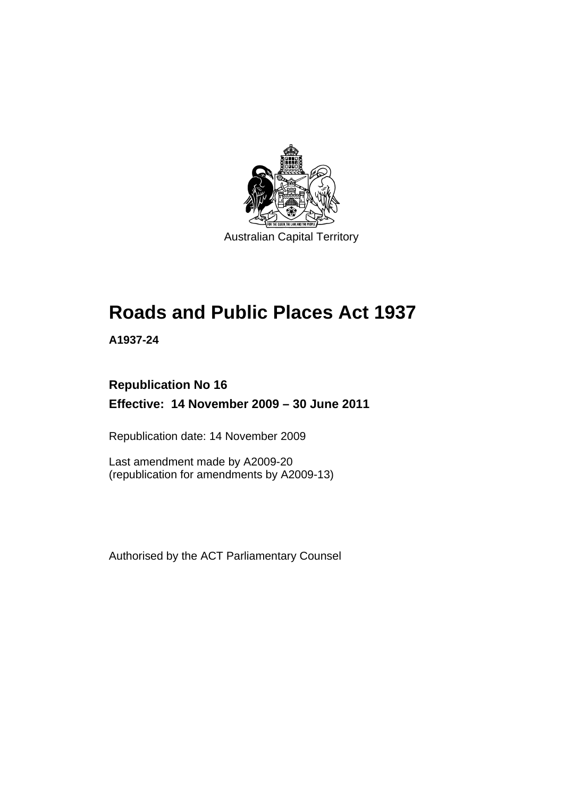

# **Roads and Public Places Act 1937**

**A1937-24** 

## **Republication No 16 Effective: 14 November 2009 – 30 June 2011**

Republication date: 14 November 2009

Last amendment made by A2009-20 (republication for amendments by A2009-13)

Authorised by the ACT Parliamentary Counsel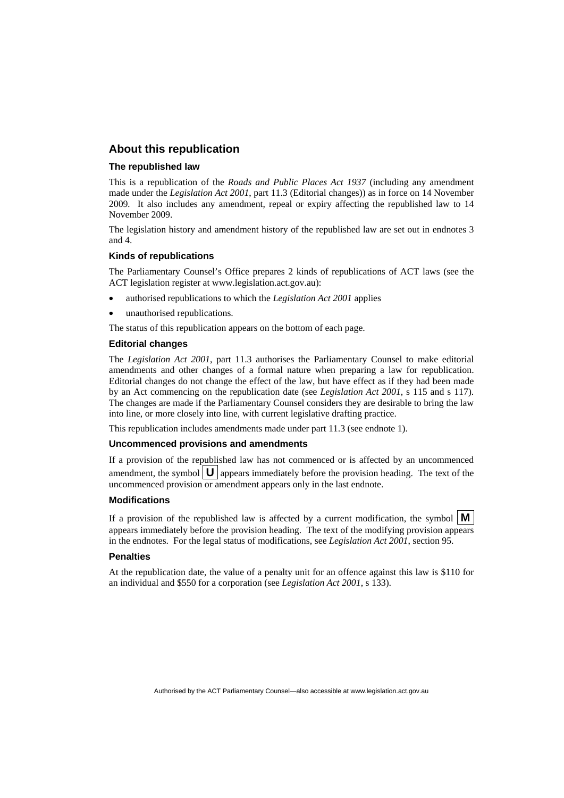## **About this republication**

### **The republished law**

This is a republication of the *Roads and Public Places Act 1937* (including any amendment made under the *Legislation Act 2001*, part 11.3 (Editorial changes)) as in force on 14 November 2009*.* It also includes any amendment, repeal or expiry affecting the republished law to 14 November 2009.

The legislation history and amendment history of the republished law are set out in endnotes 3 and 4.

### **Kinds of republications**

The Parliamentary Counsel's Office prepares 2 kinds of republications of ACT laws (see the ACT legislation register at www.legislation.act.gov.au):

- authorised republications to which the *Legislation Act 2001* applies
- unauthorised republications.

The status of this republication appears on the bottom of each page.

### **Editorial changes**

The *Legislation Act 2001*, part 11.3 authorises the Parliamentary Counsel to make editorial amendments and other changes of a formal nature when preparing a law for republication. Editorial changes do not change the effect of the law, but have effect as if they had been made by an Act commencing on the republication date (see *Legislation Act 2001*, s 115 and s 117). The changes are made if the Parliamentary Counsel considers they are desirable to bring the law into line, or more closely into line, with current legislative drafting practice.

This republication includes amendments made under part 11.3 (see endnote 1).

### **Uncommenced provisions and amendments**

If a provision of the republished law has not commenced or is affected by an uncommenced amendment, the symbol  $\mathbf{U}$  appears immediately before the provision heading. The text of the uncommenced provision  $\overline{or}$  amendment appears only in the last endnote.

### **Modifications**

If a provision of the republished law is affected by a current modification, the symbol  $\mathbf{M}$ appears immediately before the provision heading. The text of the modifying provision appears in the endnotes. For the legal status of modifications, see *Legislation Act 2001*, section 95.

### **Penalties**

At the republication date, the value of a penalty unit for an offence against this law is \$110 for an individual and \$550 for a corporation (see *Legislation Act 2001*, s 133).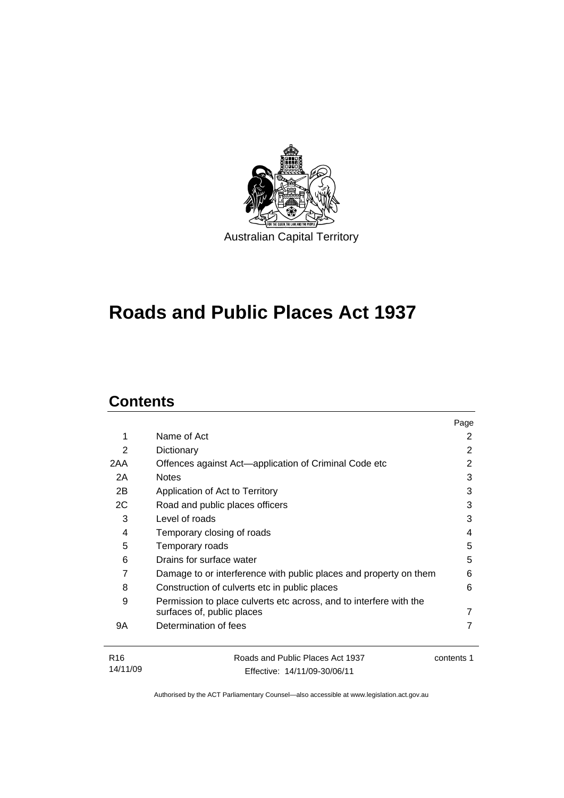

# **Roads and Public Places Act 1937**

## **Contents**

14/11/09

|                 |                                                                    | Page       |
|-----------------|--------------------------------------------------------------------|------------|
| 1               | Name of Act                                                        | 2          |
| 2               | Dictionary                                                         | 2          |
| 2AA             | Offences against Act—application of Criminal Code etc              | 2          |
| 2A              | <b>Notes</b>                                                       | 3          |
| 2B              | Application of Act to Territory                                    | 3          |
| 2C              | Road and public places officers                                    | 3          |
| 3               | Level of roads                                                     | 3          |
| 4               | Temporary closing of roads                                         | 4          |
| 5               | Temporary roads                                                    | 5          |
| 6               | Drains for surface water                                           | 5          |
| 7               | Damage to or interference with public places and property on them  | 6          |
| 8               | Construction of culverts etc in public places                      | 6          |
| 9               | Permission to place culverts etc across, and to interfere with the |            |
|                 | surfaces of, public places                                         |            |
| 9Α              | Determination of fees                                              | 7          |
| R <sub>16</sub> | Roads and Public Places Act 1937                                   | contents 1 |

Authorised by the ACT Parliamentary Counsel—also accessible at www.legislation.act.gov.au

Effective: 14/11/09-30/06/11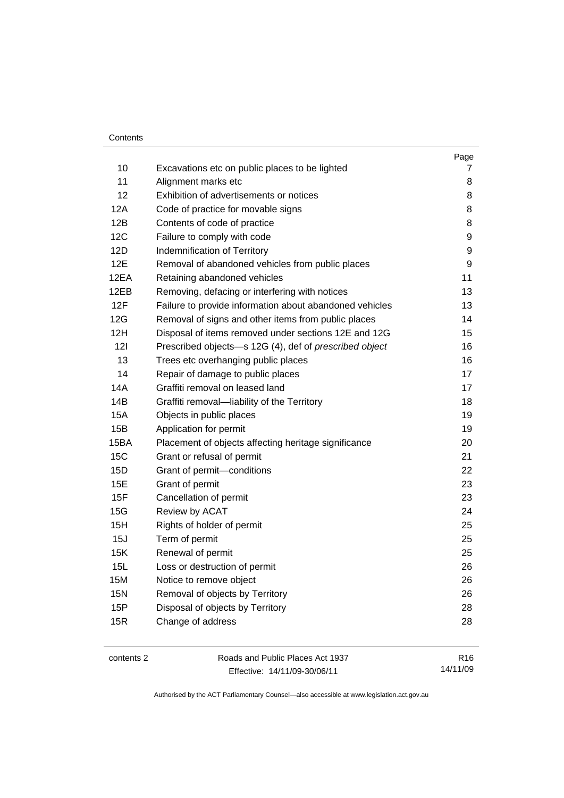|            |                                                         | Page |
|------------|---------------------------------------------------------|------|
| 10         | Excavations etc on public places to be lighted          | 7    |
| 11         | Alignment marks etc                                     | 8    |
| 12         | Exhibition of advertisements or notices                 | 8    |
| 12A        | Code of practice for movable signs                      | 8    |
| 12B        | Contents of code of practice                            | 8    |
| 12C        | Failure to comply with code                             | 9    |
| 12D        | Indemnification of Territory                            | 9    |
| 12E        | Removal of abandoned vehicles from public places        | 9    |
| 12EA       | Retaining abandoned vehicles                            | 11   |
| 12EB       | Removing, defacing or interfering with notices          | 13   |
| 12F        | Failure to provide information about abandoned vehicles | 13   |
| 12G        | Removal of signs and other items from public places     | 14   |
| 12H        | Disposal of items removed under sections 12E and 12G    | 15   |
| 121        | Prescribed objects-s 12G (4), def of prescribed object  | 16   |
| 13         | Trees etc overhanging public places                     | 16   |
| 14         | Repair of damage to public places                       | 17   |
| 14A        | Graffiti removal on leased land                         | 17   |
| 14B        | Graffiti removal-liability of the Territory             | 18   |
| 15A        | Objects in public places                                | 19   |
| 15B        | Application for permit                                  | 19   |
| 15BA       | Placement of objects affecting heritage significance    | 20   |
| 15C        | Grant or refusal of permit                              | 21   |
| 15D        | Grant of permit-conditions                              | 22   |
| 15E        | Grant of permit                                         | 23   |
| 15F        | Cancellation of permit                                  | 23   |
| 15G        | Review by ACAT                                          | 24   |
| 15H        | Rights of holder of permit                              | 25   |
| 15J        | Term of permit                                          | 25   |
| 15K        | Renewal of permit                                       | 25   |
| 15L        | Loss or destruction of permit                           | 26   |
| 15M        | Notice to remove object                                 | 26   |
| <b>15N</b> | Removal of objects by Territory                         | 26   |
| 15P        | Disposal of objects by Territory                        | 28   |
| 15R        | Change of address                                       | 28   |
|            |                                                         |      |

contents 2 Roads and Public Places Act 1937 Effective: 14/11/09-30/06/11

R16 14/11/09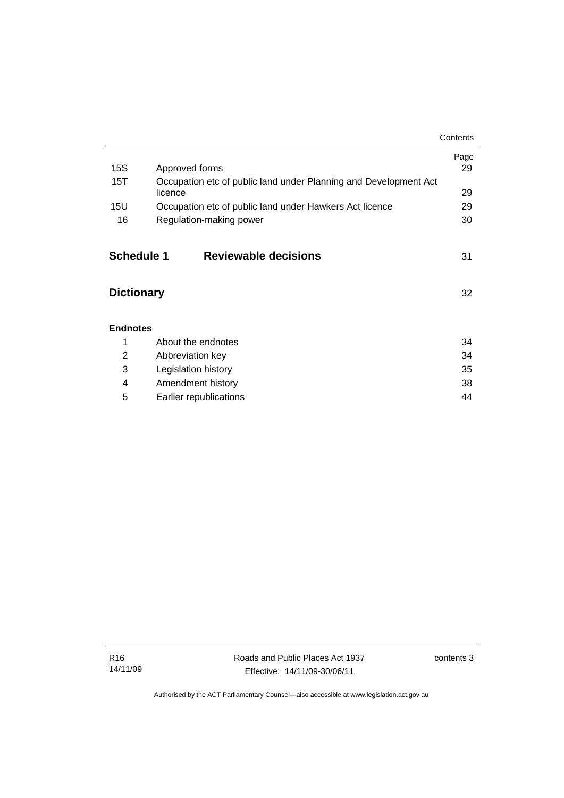|                   |                                                                             | Contents |
|-------------------|-----------------------------------------------------------------------------|----------|
|                   |                                                                             | Page     |
| 15S               | Approved forms                                                              | 29       |
| 15T               | Occupation etc of public land under Planning and Development Act<br>licence | 29       |
| 15U               | Occupation etc of public land under Hawkers Act licence                     | 29       |
| 16                | Regulation-making power                                                     | 30       |
| <b>Schedule 1</b> | <b>Reviewable decisions</b>                                                 | 31       |
| <b>Dictionary</b> |                                                                             | 32       |
| <b>Endnotes</b>   |                                                                             |          |
| 1                 | About the endnotes                                                          | 34       |
| 2                 | Abbreviation key                                                            | 34       |
| 3                 | Legislation history                                                         | 35       |
| 4                 | Amendment history                                                           | 38       |
| 5                 | Earlier republications                                                      | 44       |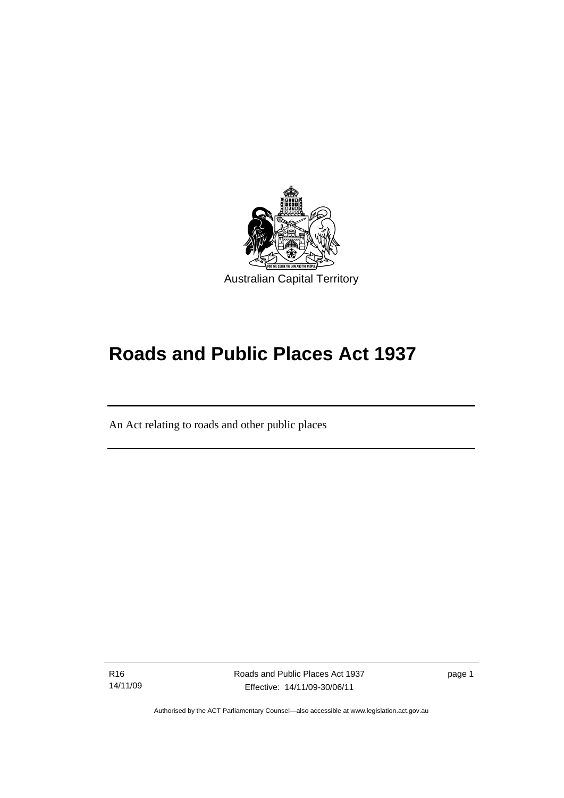

# **Roads and Public Places Act 1937**

An Act relating to roads and other public places

R16 14/11/09

Ī

Roads and Public Places Act 1937 Effective: 14/11/09-30/06/11

page 1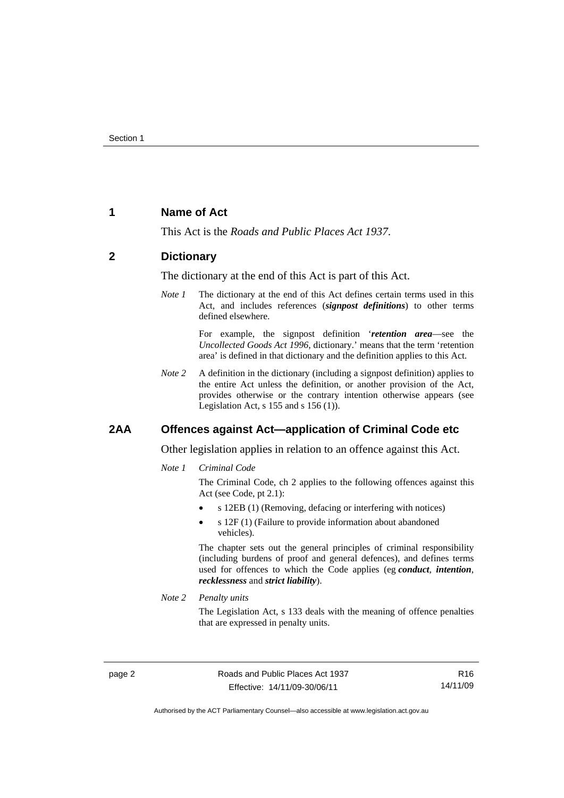## **1 Name of Act**

This Act is the *Roads and Public Places Act 1937*.

## **2 Dictionary**

The dictionary at the end of this Act is part of this Act.

*Note 1* The dictionary at the end of this Act defines certain terms used in this Act, and includes references (*signpost definitions*) to other terms defined elsewhere.

> For example, the signpost definition '*retention area*—see the *Uncollected Goods Act 1996*, dictionary.' means that the term 'retention area' is defined in that dictionary and the definition applies to this Act.

*Note 2* A definition in the dictionary (including a signpost definition) applies to the entire Act unless the definition, or another provision of the Act, provides otherwise or the contrary intention otherwise appears (see Legislation Act,  $s$  155 and  $s$  156 (1)).

## **2AA Offences against Act—application of Criminal Code etc**

Other legislation applies in relation to an offence against this Act.

*Note 1 Criminal Code*

The Criminal Code, ch 2 applies to the following offences against this Act (see Code, pt 2.1):

- s 12EB (1) (Removing, defacing or interfering with notices)
- s 12F (1) (Failure to provide information about abandoned vehicles).

The chapter sets out the general principles of criminal responsibility (including burdens of proof and general defences), and defines terms used for offences to which the Code applies (eg *conduct*, *intention*, *recklessness* and *strict liability*).

*Note 2 Penalty units* 

The Legislation Act, s 133 deals with the meaning of offence penalties that are expressed in penalty units.

R16 14/11/09

Authorised by the ACT Parliamentary Counsel—also accessible at www.legislation.act.gov.au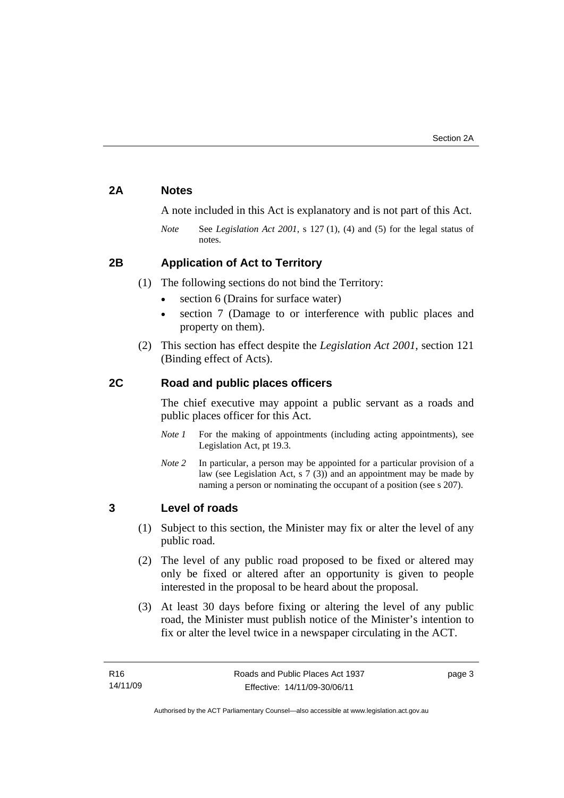## **2A Notes**

A note included in this Act is explanatory and is not part of this Act.

*Note* See *Legislation Act 2001*, s 127 (1), (4) and (5) for the legal status of notes.

## **2B Application of Act to Territory**

- (1) The following sections do not bind the Territory:
	- section 6 (Drains for surface water)
	- section 7 (Damage to or interference with public places and property on them).
- (2) This section has effect despite the *Legislation Act 2001*, section 121 (Binding effect of Acts).

## **2C Road and public places officers**

The chief executive may appoint a public servant as a roads and public places officer for this Act.

- *Note 1* For the making of appointments (including acting appointments), see Legislation Act, pt 19.3.
- *Note 2* In particular, a person may be appointed for a particular provision of a law (see Legislation Act, s  $7(3)$ ) and an appointment may be made by naming a person or nominating the occupant of a position (see s 207).

## **3 Level of roads**

- (1) Subject to this section, the Minister may fix or alter the level of any public road.
- (2) The level of any public road proposed to be fixed or altered may only be fixed or altered after an opportunity is given to people interested in the proposal to be heard about the proposal.
- (3) At least 30 days before fixing or altering the level of any public road, the Minister must publish notice of the Minister's intention to fix or alter the level twice in a newspaper circulating in the ACT.

page 3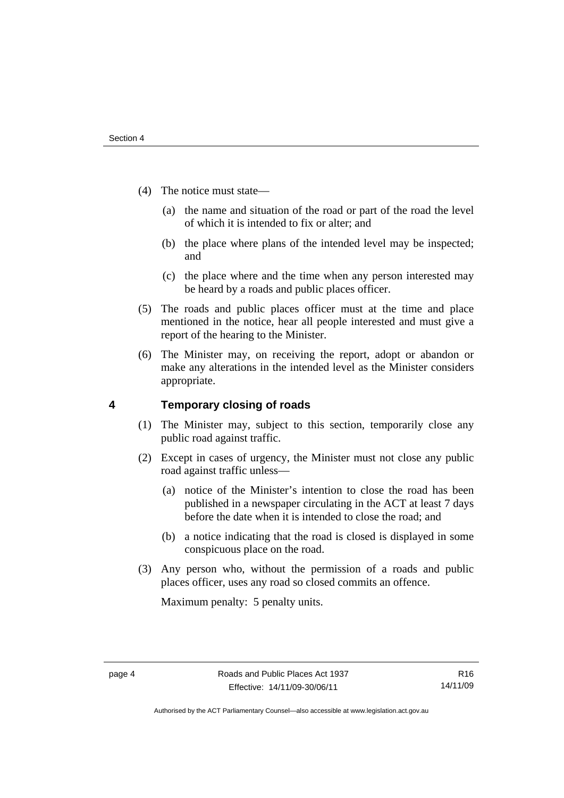- (4) The notice must state—
	- (a) the name and situation of the road or part of the road the level of which it is intended to fix or alter; and
	- (b) the place where plans of the intended level may be inspected; and
	- (c) the place where and the time when any person interested may be heard by a roads and public places officer.
- (5) The roads and public places officer must at the time and place mentioned in the notice, hear all people interested and must give a report of the hearing to the Minister.
- (6) The Minister may, on receiving the report, adopt or abandon or make any alterations in the intended level as the Minister considers appropriate.

## **4 Temporary closing of roads**

- (1) The Minister may, subject to this section, temporarily close any public road against traffic.
- (2) Except in cases of urgency, the Minister must not close any public road against traffic unless—
	- (a) notice of the Minister's intention to close the road has been published in a newspaper circulating in the ACT at least 7 days before the date when it is intended to close the road; and
	- (b) a notice indicating that the road is closed is displayed in some conspicuous place on the road.
- (3) Any person who, without the permission of a roads and public places officer, uses any road so closed commits an offence.

Maximum penalty: 5 penalty units.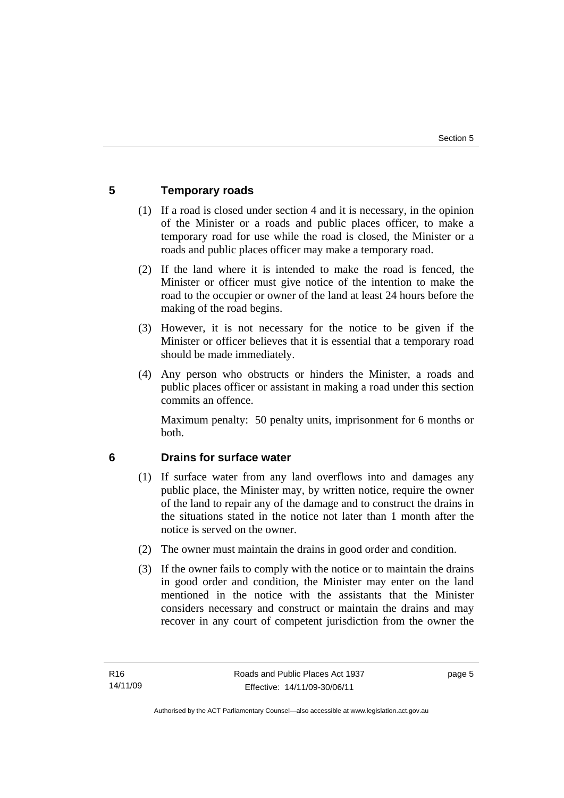## **5 Temporary roads**

- (1) If a road is closed under section 4 and it is necessary, in the opinion of the Minister or a roads and public places officer, to make a temporary road for use while the road is closed, the Minister or a roads and public places officer may make a temporary road.
- (2) If the land where it is intended to make the road is fenced, the Minister or officer must give notice of the intention to make the road to the occupier or owner of the land at least 24 hours before the making of the road begins.
- (3) However, it is not necessary for the notice to be given if the Minister or officer believes that it is essential that a temporary road should be made immediately.
- (4) Any person who obstructs or hinders the Minister, a roads and public places officer or assistant in making a road under this section commits an offence.

Maximum penalty: 50 penalty units, imprisonment for 6 months or both.

## **6 Drains for surface water**

- (1) If surface water from any land overflows into and damages any public place, the Minister may, by written notice, require the owner of the land to repair any of the damage and to construct the drains in the situations stated in the notice not later than 1 month after the notice is served on the owner.
- (2) The owner must maintain the drains in good order and condition.
- (3) If the owner fails to comply with the notice or to maintain the drains in good order and condition, the Minister may enter on the land mentioned in the notice with the assistants that the Minister considers necessary and construct or maintain the drains and may recover in any court of competent jurisdiction from the owner the

page 5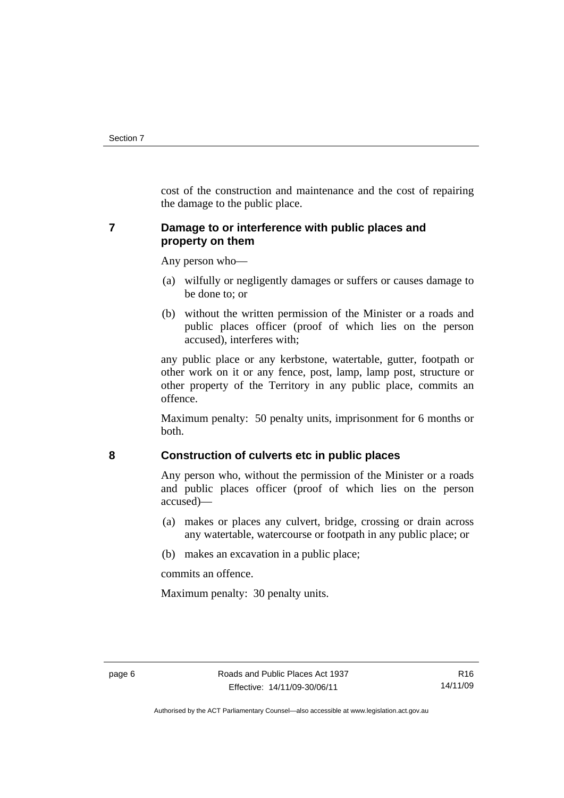cost of the construction and maintenance and the cost of repairing the damage to the public place.

## **7 Damage to or interference with public places and property on them**

Any person who—

- (a) wilfully or negligently damages or suffers or causes damage to be done to; or
- (b) without the written permission of the Minister or a roads and public places officer (proof of which lies on the person accused), interferes with;

any public place or any kerbstone, watertable, gutter, footpath or other work on it or any fence, post, lamp, lamp post, structure or other property of the Territory in any public place, commits an offence.

Maximum penalty: 50 penalty units, imprisonment for 6 months or both.

## **8 Construction of culverts etc in public places**

Any person who, without the permission of the Minister or a roads and public places officer (proof of which lies on the person accused)—

- (a) makes or places any culvert, bridge, crossing or drain across any watertable, watercourse or footpath in any public place; or
- (b) makes an excavation in a public place;

commits an offence.

Maximum penalty: 30 penalty units.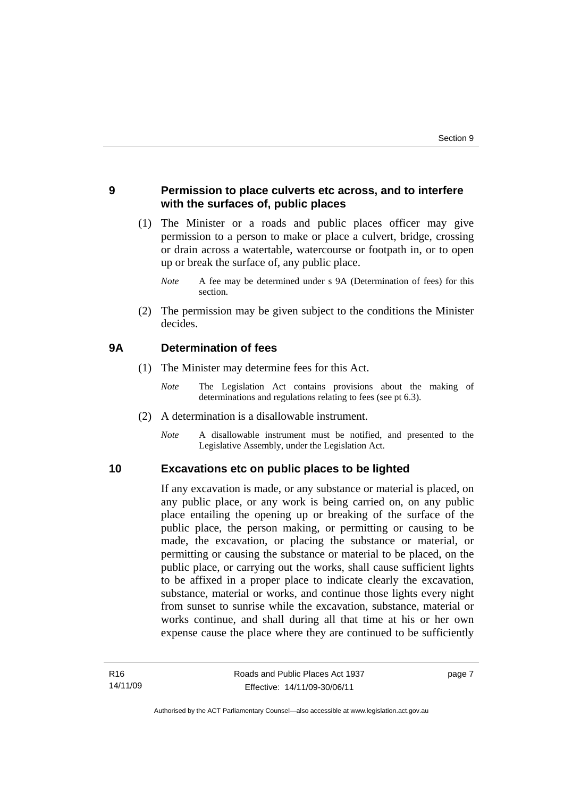## **9 Permission to place culverts etc across, and to interfere with the surfaces of, public places**

 (1) The Minister or a roads and public places officer may give permission to a person to make or place a culvert, bridge, crossing or drain across a watertable, watercourse or footpath in, or to open up or break the surface of, any public place.

 (2) The permission may be given subject to the conditions the Minister decides.

## **9A Determination of fees**

- (1) The Minister may determine fees for this Act.
	- *Note* The Legislation Act contains provisions about the making of determinations and regulations relating to fees (see pt 6.3).
- (2) A determination is a disallowable instrument.
	- *Note* A disallowable instrument must be notified, and presented to the Legislative Assembly, under the Legislation Act.

### **10 Excavations etc on public places to be lighted**

If any excavation is made, or any substance or material is placed, on any public place, or any work is being carried on, on any public place entailing the opening up or breaking of the surface of the public place, the person making, or permitting or causing to be made, the excavation, or placing the substance or material, or permitting or causing the substance or material to be placed, on the public place, or carrying out the works, shall cause sufficient lights to be affixed in a proper place to indicate clearly the excavation, substance, material or works, and continue those lights every night from sunset to sunrise while the excavation, substance, material or works continue, and shall during all that time at his or her own expense cause the place where they are continued to be sufficiently

page 7

*Note* A fee may be determined under s 9A (Determination of fees) for this section.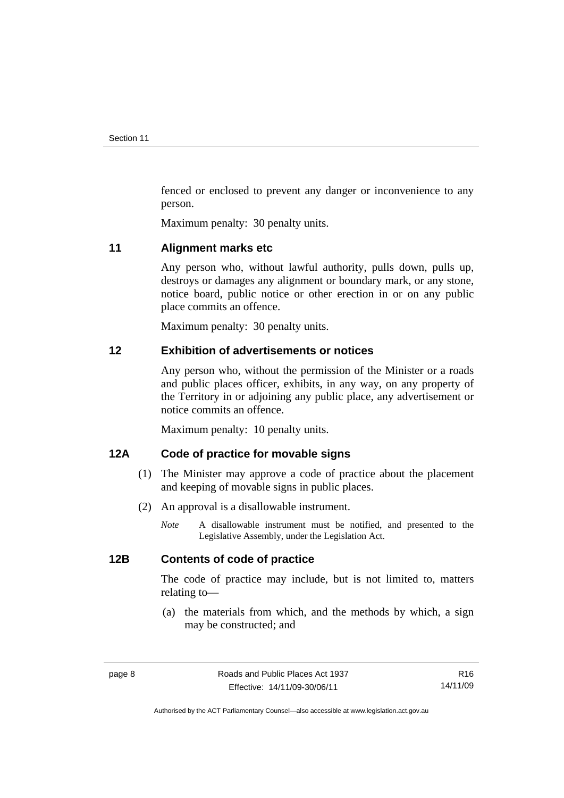fenced or enclosed to prevent any danger or inconvenience to any person.

Maximum penalty: 30 penalty units.

### **11 Alignment marks etc**

Any person who, without lawful authority, pulls down, pulls up, destroys or damages any alignment or boundary mark, or any stone, notice board, public notice or other erection in or on any public place commits an offence.

Maximum penalty: 30 penalty units.

## **12 Exhibition of advertisements or notices**

Any person who, without the permission of the Minister or a roads and public places officer, exhibits, in any way, on any property of the Territory in or adjoining any public place, any advertisement or notice commits an offence.

Maximum penalty: 10 penalty units.

## **12A Code of practice for movable signs**

- (1) The Minister may approve a code of practice about the placement and keeping of movable signs in public places.
- (2) An approval is a disallowable instrument.
	- *Note* A disallowable instrument must be notified, and presented to the Legislative Assembly, under the Legislation Act.

## **12B Contents of code of practice**

The code of practice may include, but is not limited to, matters relating to—

 (a) the materials from which, and the methods by which, a sign may be constructed; and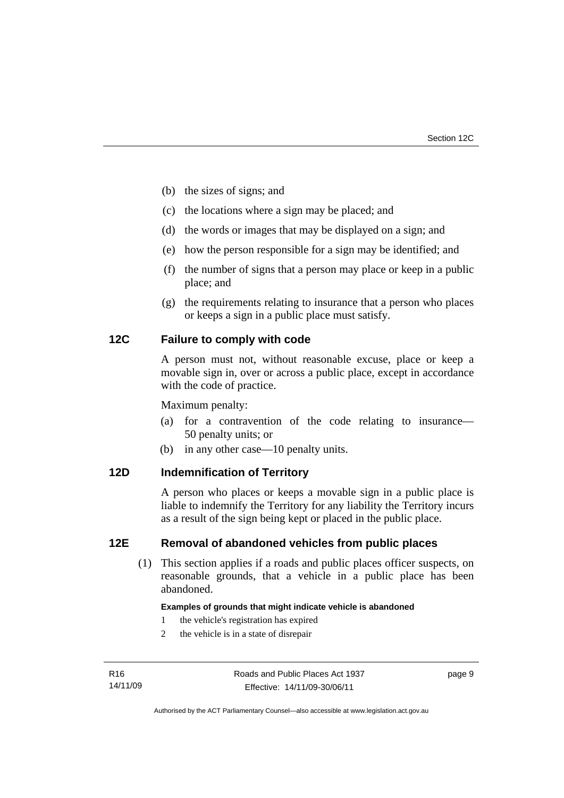- (b) the sizes of signs; and
- (c) the locations where a sign may be placed; and
- (d) the words or images that may be displayed on a sign; and
- (e) how the person responsible for a sign may be identified; and
- (f) the number of signs that a person may place or keep in a public place; and
- (g) the requirements relating to insurance that a person who places or keeps a sign in a public place must satisfy.

## **12C Failure to comply with code**

A person must not, without reasonable excuse, place or keep a movable sign in, over or across a public place, except in accordance with the code of practice.

Maximum penalty:

- (a) for a contravention of the code relating to insurance— 50 penalty units; or
- (b) in any other case—10 penalty units.

## **12D Indemnification of Territory**

A person who places or keeps a movable sign in a public place is liable to indemnify the Territory for any liability the Territory incurs as a result of the sign being kept or placed in the public place.

### **12E Removal of abandoned vehicles from public places**

(1) This section applies if a roads and public places officer suspects, on reasonable grounds, that a vehicle in a public place has been abandoned.

### **Examples of grounds that might indicate vehicle is abandoned**

- 1 the vehicle's registration has expired
- 2 the vehicle is in a state of disrepair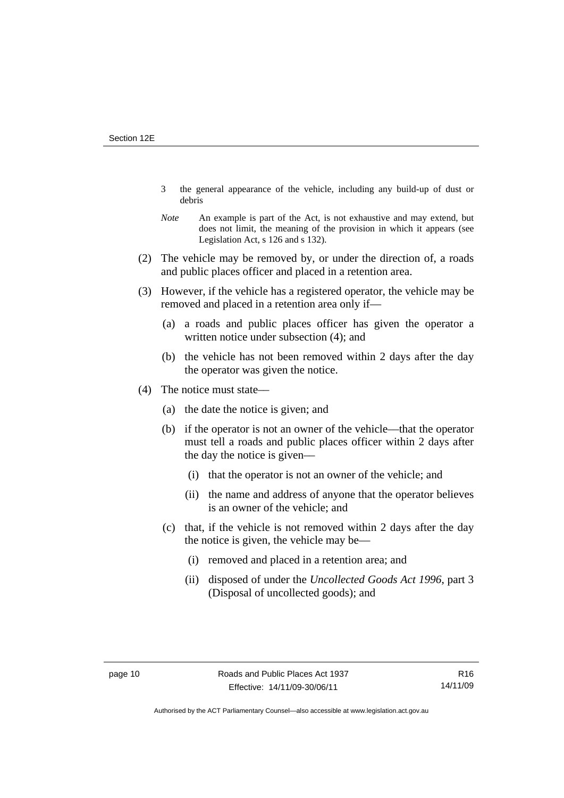- 3 the general appearance of the vehicle, including any build-up of dust or debris
- *Note* An example is part of the Act, is not exhaustive and may extend, but does not limit, the meaning of the provision in which it appears (see Legislation Act, s 126 and s 132).
- (2) The vehicle may be removed by, or under the direction of, a roads and public places officer and placed in a retention area.
- (3) However, if the vehicle has a registered operator, the vehicle may be removed and placed in a retention area only if—
	- (a) a roads and public places officer has given the operator a written notice under subsection (4); and
	- (b) the vehicle has not been removed within 2 days after the day the operator was given the notice.
- (4) The notice must state––
	- (a) the date the notice is given; and
	- (b) if the operator is not an owner of the vehicle––that the operator must tell a roads and public places officer within 2 days after the day the notice is given––
		- (i) that the operator is not an owner of the vehicle; and
		- (ii) the name and address of anyone that the operator believes is an owner of the vehicle; and
	- (c) that, if the vehicle is not removed within 2 days after the day the notice is given, the vehicle may be––
		- (i) removed and placed in a retention area; and
		- (ii) disposed of under the *Uncollected Goods Act 1996*, part 3 (Disposal of uncollected goods); and

Authorised by the ACT Parliamentary Counsel—also accessible at www.legislation.act.gov.au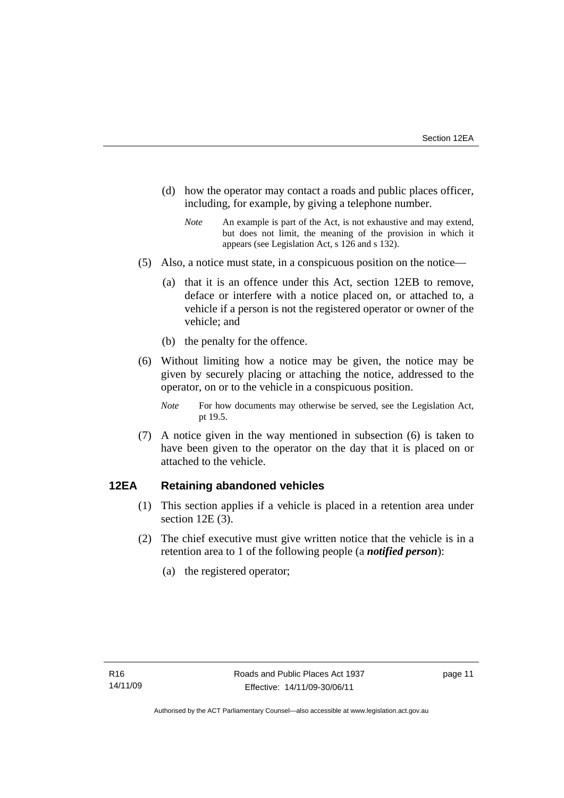- (d) how the operator may contact a roads and public places officer, including, for example, by giving a telephone number.
	- *Note* An example is part of the Act, is not exhaustive and may extend, but does not limit, the meaning of the provision in which it appears (see Legislation Act, s 126 and s 132).
- (5) Also, a notice must state, in a conspicuous position on the notice—
	- (a) that it is an offence under this Act, section 12EB to remove, deface or interfere with a notice placed on, or attached to, a vehicle if a person is not the registered operator or owner of the vehicle; and
	- (b) the penalty for the offence.
- (6) Without limiting how a notice may be given, the notice may be given by securely placing or attaching the notice, addressed to the operator, on or to the vehicle in a conspicuous position.
	- *Note* For how documents may otherwise be served, see the Legislation Act, pt 19.5.
- (7) A notice given in the way mentioned in subsection (6) is taken to have been given to the operator on the day that it is placed on or attached to the vehicle.

## **12EA Retaining abandoned vehicles**

- (1) This section applies if a vehicle is placed in a retention area under section 12E (3).
- (2) The chief executive must give written notice that the vehicle is in a retention area to 1 of the following people (a *notified person*):
	- (a) the registered operator;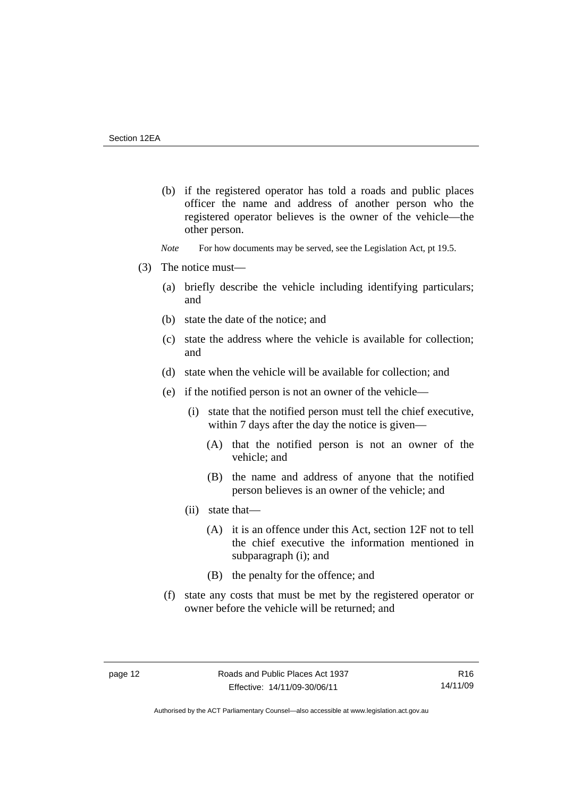- (b) if the registered operator has told a roads and public places officer the name and address of another person who the registered operator believes is the owner of the vehicle—the other person.
- *Note* For how documents may be served, see the Legislation Act, pt 19.5.
- (3) The notice must––
	- (a) briefly describe the vehicle including identifying particulars; and
	- (b) state the date of the notice; and
	- (c) state the address where the vehicle is available for collection; and
	- (d) state when the vehicle will be available for collection; and
	- (e) if the notified person is not an owner of the vehicle—
		- (i) state that the notified person must tell the chief executive, within 7 days after the day the notice is given—
			- (A) that the notified person is not an owner of the vehicle; and
			- (B) the name and address of anyone that the notified person believes is an owner of the vehicle; and
		- (ii) state that—
			- (A) it is an offence under this Act, section 12F not to tell the chief executive the information mentioned in subparagraph (i); and
			- (B) the penalty for the offence; and
	- (f) state any costs that must be met by the registered operator or owner before the vehicle will be returned; and

R16 14/11/09

Authorised by the ACT Parliamentary Counsel—also accessible at www.legislation.act.gov.au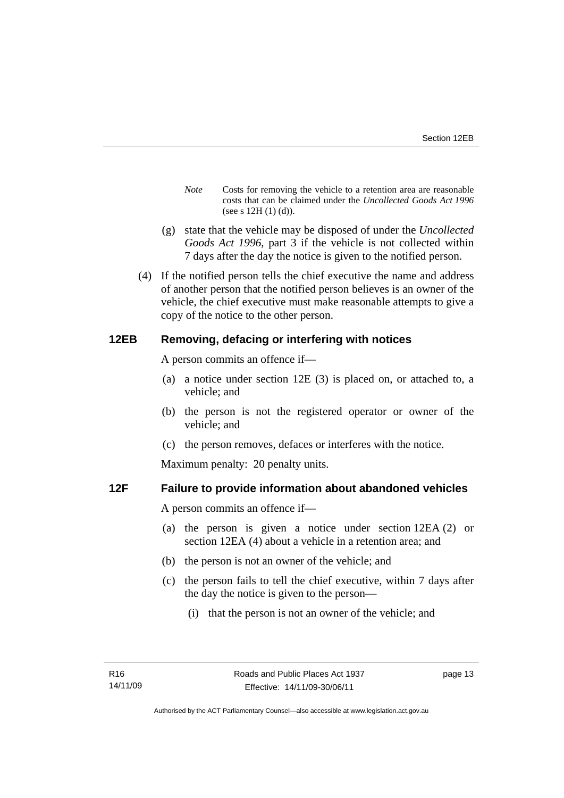- *Note* Costs for removing the vehicle to a retention area are reasonable costs that can be claimed under the *Uncollected Goods Act 1996* (see s 12H (1) (d)).
- (g) state that the vehicle may be disposed of under the *Uncollected Goods Act 1996*, part 3 if the vehicle is not collected within 7 days after the day the notice is given to the notified person.
- (4) If the notified person tells the chief executive the name and address of another person that the notified person believes is an owner of the vehicle, the chief executive must make reasonable attempts to give a copy of the notice to the other person.

## **12EB Removing, defacing or interfering with notices**

A person commits an offence if—

- (a) a notice under section 12E (3) is placed on, or attached to, a vehicle; and
- (b) the person is not the registered operator or owner of the vehicle; and
- (c) the person removes, defaces or interferes with the notice.

Maximum penalty: 20 penalty units.

## **12F Failure to provide information about abandoned vehicles**

A person commits an offence if––

- (a) the person is given a notice under section 12EA (2) or section 12EA (4) about a vehicle in a retention area; and
- (b) the person is not an owner of the vehicle; and
- (c) the person fails to tell the chief executive, within 7 days after the day the notice is given to the person––
	- (i) that the person is not an owner of the vehicle; and

page 13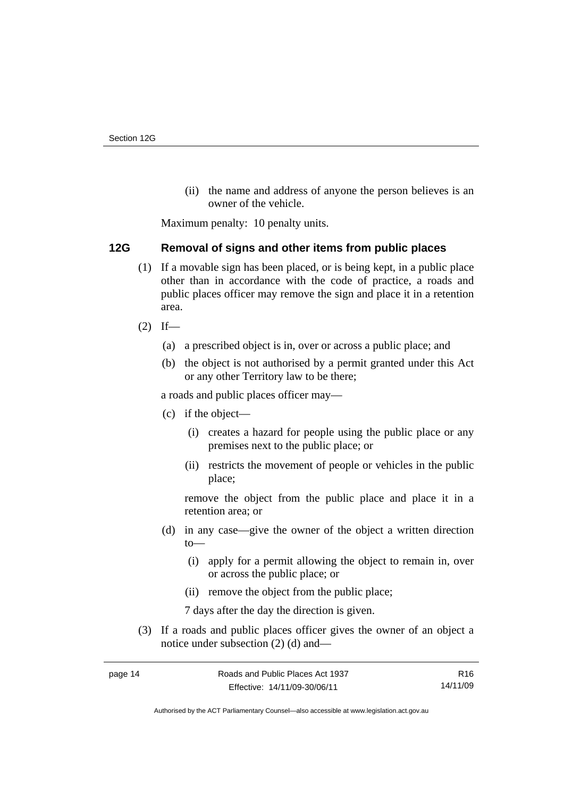(ii) the name and address of anyone the person believes is an owner of the vehicle.

Maximum penalty: 10 penalty units.

## **12G Removal of signs and other items from public places**

- (1) If a movable sign has been placed, or is being kept, in a public place other than in accordance with the code of practice, a roads and public places officer may remove the sign and place it in a retention area.
- $(2)$  If—
	- (a) a prescribed object is in, over or across a public place; and
	- (b) the object is not authorised by a permit granted under this Act or any other Territory law to be there;

a roads and public places officer may—

- (c) if the object—
	- (i) creates a hazard for people using the public place or any premises next to the public place; or
	- (ii) restricts the movement of people or vehicles in the public place;

remove the object from the public place and place it in a retention area; or

- (d) in any case—give the owner of the object a written direction to—
	- (i) apply for a permit allowing the object to remain in, over or across the public place; or
	- (ii) remove the object from the public place;

7 days after the day the direction is given.

 (3) If a roads and public places officer gives the owner of an object a notice under subsection (2) (d) and—

R16 14/11/09

Authorised by the ACT Parliamentary Counsel—also accessible at www.legislation.act.gov.au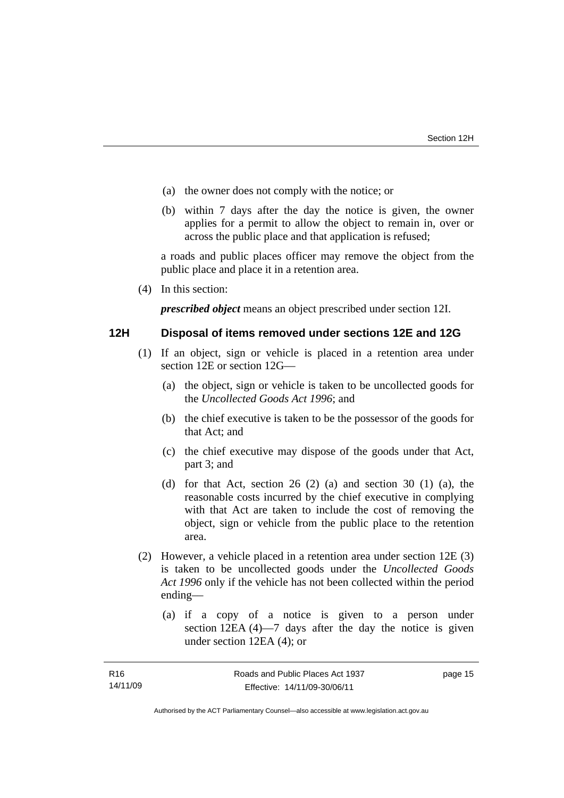- (a) the owner does not comply with the notice; or
- (b) within 7 days after the day the notice is given, the owner applies for a permit to allow the object to remain in, over or across the public place and that application is refused;

a roads and public places officer may remove the object from the public place and place it in a retention area.

(4) In this section:

*prescribed object* means an object prescribed under section 12I.

### **12H Disposal of items removed under sections 12E and 12G**

- (1) If an object, sign or vehicle is placed in a retention area under section 12E or section 12G—
	- (a) the object, sign or vehicle is taken to be uncollected goods for the *Uncollected Goods Act 1996*; and
	- (b) the chief executive is taken to be the possessor of the goods for that Act; and
	- (c) the chief executive may dispose of the goods under that Act, part 3; and
	- (d) for that Act, section 26 (2) (a) and section 30 (1) (a), the reasonable costs incurred by the chief executive in complying with that Act are taken to include the cost of removing the object, sign or vehicle from the public place to the retention area.
- (2) However, a vehicle placed in a retention area under section 12E (3) is taken to be uncollected goods under the *Uncollected Goods Act 1996* only if the vehicle has not been collected within the period ending––
	- (a) if a copy of a notice is given to a person under section 12EA (4)—7 days after the day the notice is given under section 12EA (4); or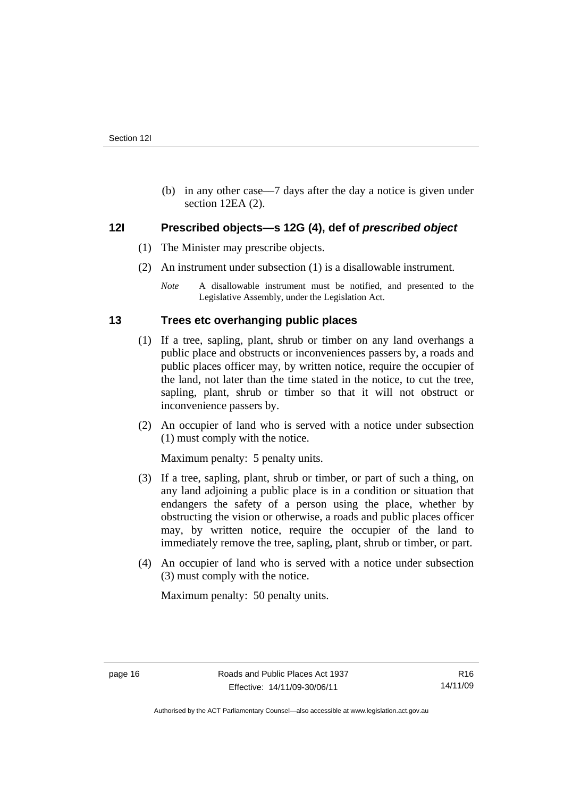(b) in any other case––7 days after the day a notice is given under section 12EA (2).

## **12I Prescribed objects—s 12G (4), def of** *prescribed object*

- (1) The Minister may prescribe objects.
- (2) An instrument under subsection (1) is a disallowable instrument.

## **13 Trees etc overhanging public places**

- (1) If a tree, sapling, plant, shrub or timber on any land overhangs a public place and obstructs or inconveniences passers by, a roads and public places officer may, by written notice, require the occupier of the land, not later than the time stated in the notice, to cut the tree, sapling, plant, shrub or timber so that it will not obstruct or inconvenience passers by.
- (2) An occupier of land who is served with a notice under subsection (1) must comply with the notice.

Maximum penalty: 5 penalty units.

- (3) If a tree, sapling, plant, shrub or timber, or part of such a thing, on any land adjoining a public place is in a condition or situation that endangers the safety of a person using the place, whether by obstructing the vision or otherwise, a roads and public places officer may, by written notice, require the occupier of the land to immediately remove the tree, sapling, plant, shrub or timber, or part.
- (4) An occupier of land who is served with a notice under subsection (3) must comply with the notice.

Maximum penalty: 50 penalty units.

*Note* A disallowable instrument must be notified, and presented to the Legislative Assembly, under the Legislation Act.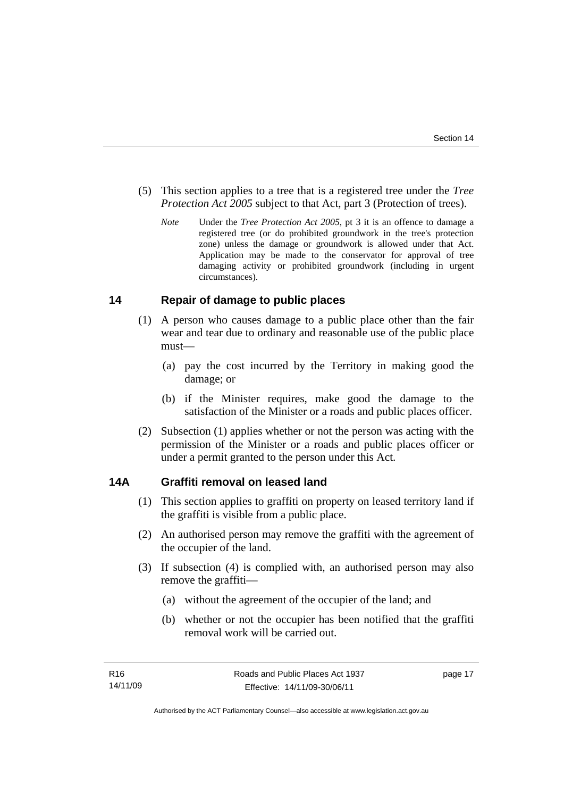- (5) This section applies to a tree that is a registered tree under the *Tree Protection Act 2005* subject to that Act, part 3 (Protection of trees).
	- *Note* Under the *Tree Protection Act 2005*, pt 3 it is an offence to damage a registered tree (or do prohibited groundwork in the tree's protection zone) unless the damage or groundwork is allowed under that Act. Application may be made to the conservator for approval of tree damaging activity or prohibited groundwork (including in urgent circumstances).

## **14 Repair of damage to public places**

- (1) A person who causes damage to a public place other than the fair wear and tear due to ordinary and reasonable use of the public place must—
	- (a) pay the cost incurred by the Territory in making good the damage; or
	- (b) if the Minister requires, make good the damage to the satisfaction of the Minister or a roads and public places officer.
- (2) Subsection (1) applies whether or not the person was acting with the permission of the Minister or a roads and public places officer or under a permit granted to the person under this Act.

## **14A Graffiti removal on leased land**

- (1) This section applies to graffiti on property on leased territory land if the graffiti is visible from a public place.
- (2) An authorised person may remove the graffiti with the agreement of the occupier of the land.
- (3) If subsection (4) is complied with, an authorised person may also remove the graffiti—
	- (a) without the agreement of the occupier of the land; and
	- (b) whether or not the occupier has been notified that the graffiti removal work will be carried out.

page 17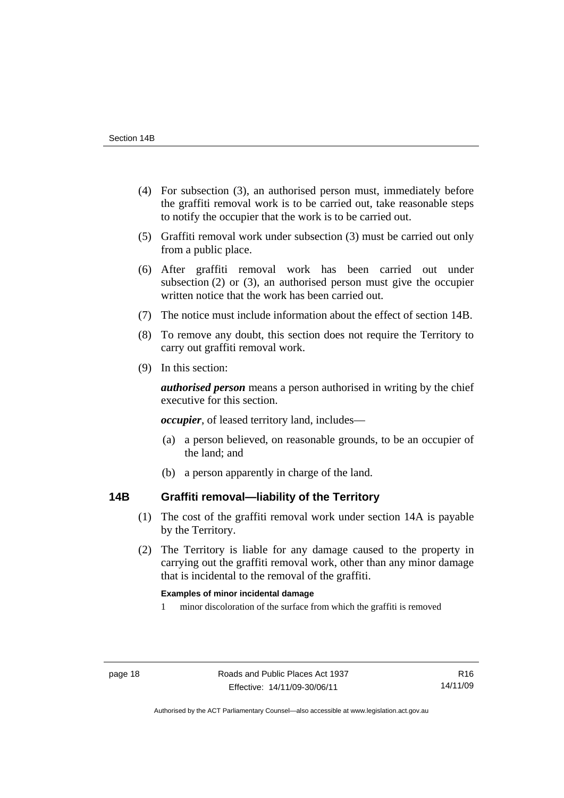- (4) For subsection (3), an authorised person must, immediately before the graffiti removal work is to be carried out, take reasonable steps to notify the occupier that the work is to be carried out.
- (5) Graffiti removal work under subsection (3) must be carried out only from a public place.
- (6) After graffiti removal work has been carried out under subsection (2) or (3), an authorised person must give the occupier written notice that the work has been carried out.
- (7) The notice must include information about the effect of section 14B.
- (8) To remove any doubt, this section does not require the Territory to carry out graffiti removal work.
- (9) In this section:

*authorised person* means a person authorised in writing by the chief executive for this section.

*occupier*, of leased territory land, includes—

- (a) a person believed, on reasonable grounds, to be an occupier of the land; and
- (b) a person apparently in charge of the land.

## **14B Graffiti removal—liability of the Territory**

- (1) The cost of the graffiti removal work under section 14A is payable by the Territory.
- (2) The Territory is liable for any damage caused to the property in carrying out the graffiti removal work, other than any minor damage that is incidental to the removal of the graffiti.

### **Examples of minor incidental damage**

1 minor discoloration of the surface from which the graffiti is removed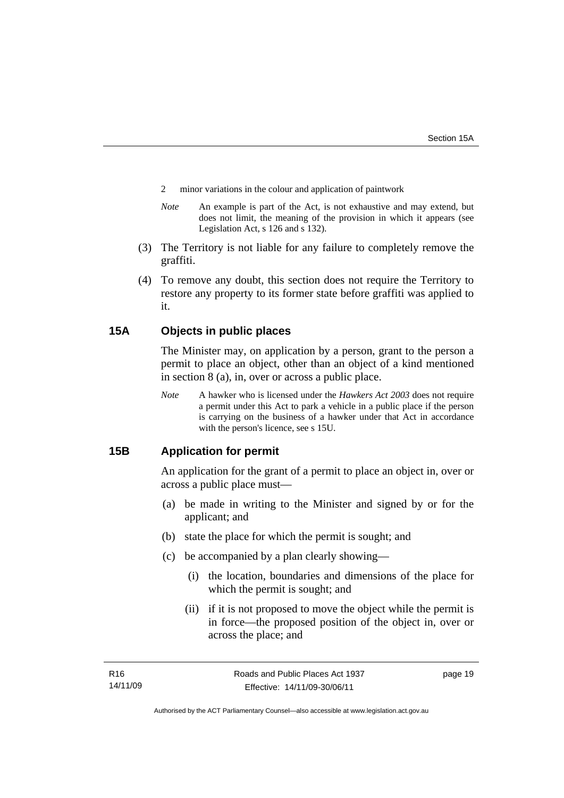- 2 minor variations in the colour and application of paintwork
- *Note* An example is part of the Act, is not exhaustive and may extend, but does not limit, the meaning of the provision in which it appears (see Legislation Act, s 126 and s 132).
- (3) The Territory is not liable for any failure to completely remove the graffiti.
- (4) To remove any doubt, this section does not require the Territory to restore any property to its former state before graffiti was applied to it.

## **15A Objects in public places**

The Minister may, on application by a person, grant to the person a permit to place an object, other than an object of a kind mentioned in section 8 (a), in, over or across a public place.

*Note* A hawker who is licensed under the *Hawkers Act 2003* does not require a permit under this Act to park a vehicle in a public place if the person is carrying on the business of a hawker under that Act in accordance with the person's licence, see s 15U.

## **15B Application for permit**

An application for the grant of a permit to place an object in, over or across a public place must—

- (a) be made in writing to the Minister and signed by or for the applicant; and
- (b) state the place for which the permit is sought; and
- (c) be accompanied by a plan clearly showing—
	- (i) the location, boundaries and dimensions of the place for which the permit is sought; and
	- (ii) if it is not proposed to move the object while the permit is in force—the proposed position of the object in, over or across the place; and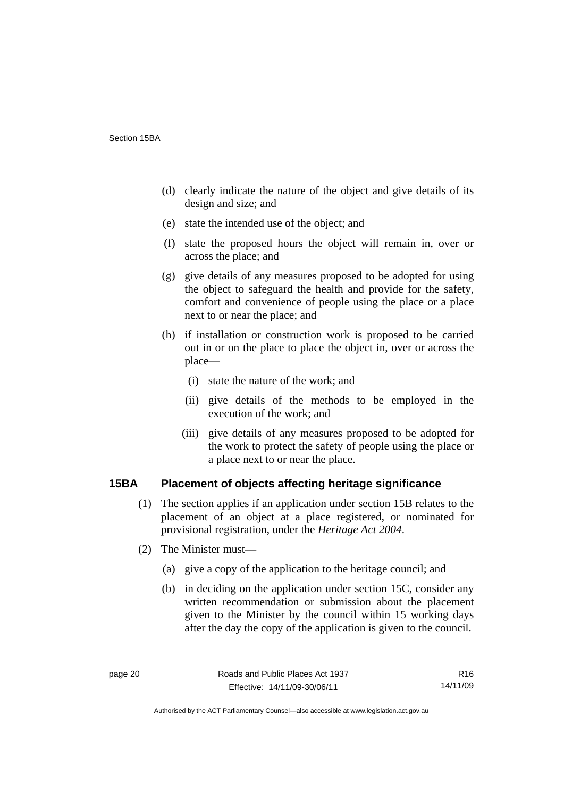- (d) clearly indicate the nature of the object and give details of its design and size; and
- (e) state the intended use of the object; and
- (f) state the proposed hours the object will remain in, over or across the place; and
- (g) give details of any measures proposed to be adopted for using the object to safeguard the health and provide for the safety, comfort and convenience of people using the place or a place next to or near the place; and
- (h) if installation or construction work is proposed to be carried out in or on the place to place the object in, over or across the place—
	- (i) state the nature of the work; and
	- (ii) give details of the methods to be employed in the execution of the work; and
	- (iii) give details of any measures proposed to be adopted for the work to protect the safety of people using the place or a place next to or near the place.

## **15BA Placement of objects affecting heritage significance**

- (1) The section applies if an application under section 15B relates to the placement of an object at a place registered, or nominated for provisional registration, under the *Heritage Act 2004*.
- (2) The Minister must—
	- (a) give a copy of the application to the heritage council; and
	- (b) in deciding on the application under section 15C, consider any written recommendation or submission about the placement given to the Minister by the council within 15 working days after the day the copy of the application is given to the council.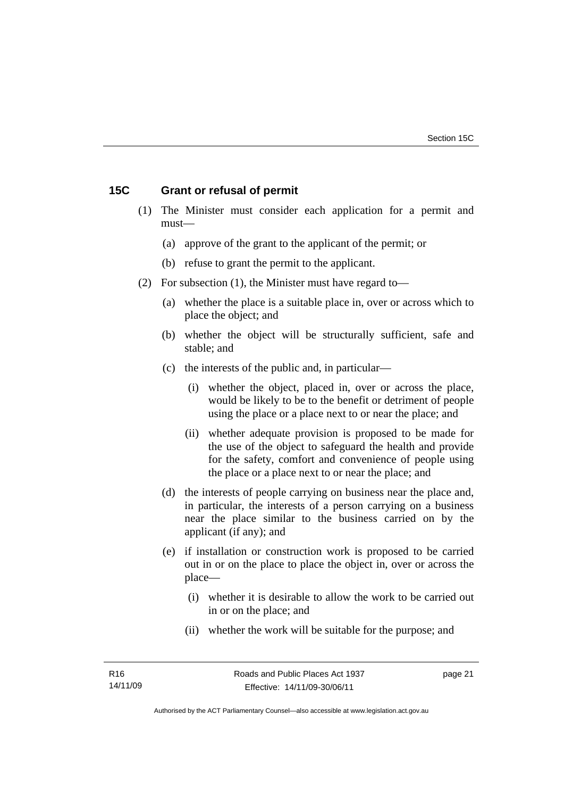## **15C Grant or refusal of permit**

- (1) The Minister must consider each application for a permit and must—
	- (a) approve of the grant to the applicant of the permit; or
	- (b) refuse to grant the permit to the applicant.
- (2) For subsection (1), the Minister must have regard to—
	- (a) whether the place is a suitable place in, over or across which to place the object; and
	- (b) whether the object will be structurally sufficient, safe and stable; and
	- (c) the interests of the public and, in particular—
		- (i) whether the object, placed in, over or across the place, would be likely to be to the benefit or detriment of people using the place or a place next to or near the place; and
		- (ii) whether adequate provision is proposed to be made for the use of the object to safeguard the health and provide for the safety, comfort and convenience of people using the place or a place next to or near the place; and
	- (d) the interests of people carrying on business near the place and, in particular, the interests of a person carrying on a business near the place similar to the business carried on by the applicant (if any); and
	- (e) if installation or construction work is proposed to be carried out in or on the place to place the object in, over or across the place—
		- (i) whether it is desirable to allow the work to be carried out in or on the place; and
		- (ii) whether the work will be suitable for the purpose; and

page 21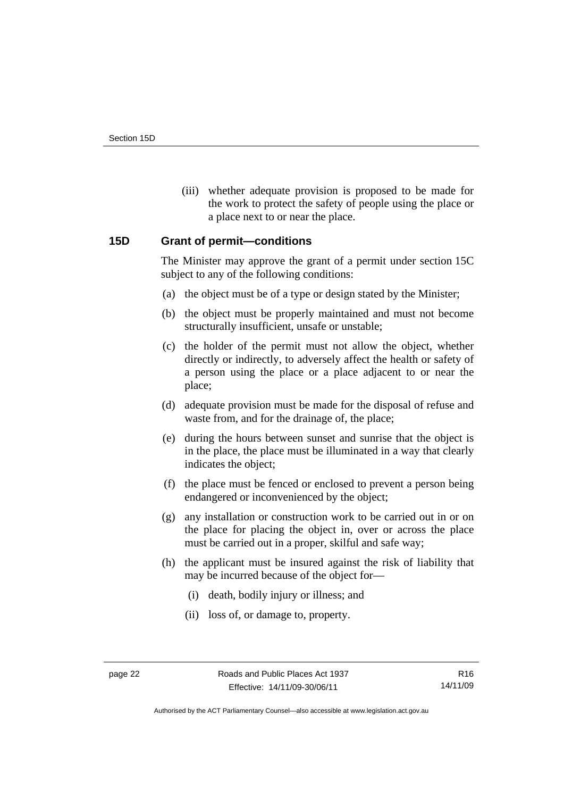(iii) whether adequate provision is proposed to be made for the work to protect the safety of people using the place or a place next to or near the place.

## **15D Grant of permit—conditions**

The Minister may approve the grant of a permit under section 15C subject to any of the following conditions:

- (a) the object must be of a type or design stated by the Minister;
- (b) the object must be properly maintained and must not become structurally insufficient, unsafe or unstable;
- (c) the holder of the permit must not allow the object, whether directly or indirectly, to adversely affect the health or safety of a person using the place or a place adjacent to or near the place;
- (d) adequate provision must be made for the disposal of refuse and waste from, and for the drainage of, the place;
- (e) during the hours between sunset and sunrise that the object is in the place, the place must be illuminated in a way that clearly indicates the object;
- (f) the place must be fenced or enclosed to prevent a person being endangered or inconvenienced by the object;
- (g) any installation or construction work to be carried out in or on the place for placing the object in, over or across the place must be carried out in a proper, skilful and safe way;
- (h) the applicant must be insured against the risk of liability that may be incurred because of the object for—
	- (i) death, bodily injury or illness; and
	- (ii) loss of, or damage to, property.

Authorised by the ACT Parliamentary Counsel—also accessible at www.legislation.act.gov.au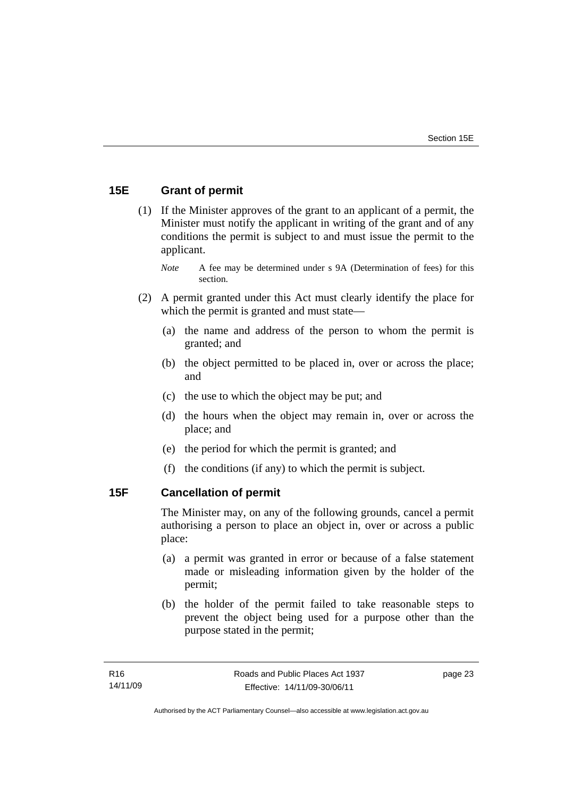## **15E Grant of permit**

 (1) If the Minister approves of the grant to an applicant of a permit, the Minister must notify the applicant in writing of the grant and of any conditions the permit is subject to and must issue the permit to the applicant.

*Note* A fee may be determined under s 9A (Determination of fees) for this section.

- (2) A permit granted under this Act must clearly identify the place for which the permit is granted and must state—
	- (a) the name and address of the person to whom the permit is granted; and
	- (b) the object permitted to be placed in, over or across the place; and
	- (c) the use to which the object may be put; and
	- (d) the hours when the object may remain in, over or across the place; and
	- (e) the period for which the permit is granted; and
	- (f) the conditions (if any) to which the permit is subject.

## **15F Cancellation of permit**

The Minister may, on any of the following grounds, cancel a permit authorising a person to place an object in, over or across a public place:

- (a) a permit was granted in error or because of a false statement made or misleading information given by the holder of the permit;
- (b) the holder of the permit failed to take reasonable steps to prevent the object being used for a purpose other than the purpose stated in the permit;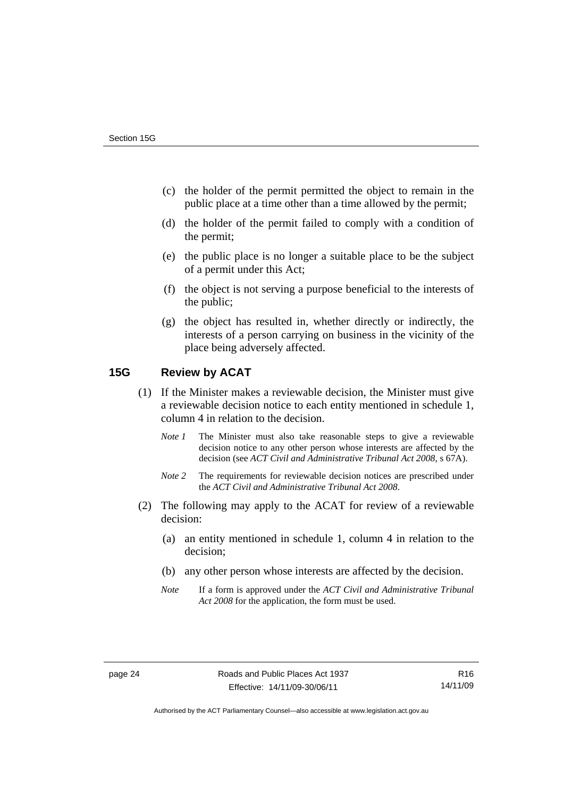- (c) the holder of the permit permitted the object to remain in the public place at a time other than a time allowed by the permit;
- (d) the holder of the permit failed to comply with a condition of the permit;
- (e) the public place is no longer a suitable place to be the subject of a permit under this Act;
- (f) the object is not serving a purpose beneficial to the interests of the public;
- (g) the object has resulted in, whether directly or indirectly, the interests of a person carrying on business in the vicinity of the place being adversely affected.

## **15G Review by ACAT**

- (1) If the Minister makes a reviewable decision, the Minister must give a reviewable decision notice to each entity mentioned in schedule 1, column 4 in relation to the decision.
	- *Note 1* The Minister must also take reasonable steps to give a reviewable decision notice to any other person whose interests are affected by the decision (see *ACT Civil and Administrative Tribunal Act 2008*, s 67A).
	- *Note* 2 The requirements for reviewable decision notices are prescribed under the *ACT Civil and Administrative Tribunal Act 2008*.
- (2) The following may apply to the ACAT for review of a reviewable decision:
	- (a) an entity mentioned in schedule 1, column 4 in relation to the decision;
	- (b) any other person whose interests are affected by the decision.
	- *Note* If a form is approved under the *ACT Civil and Administrative Tribunal Act 2008* for the application, the form must be used.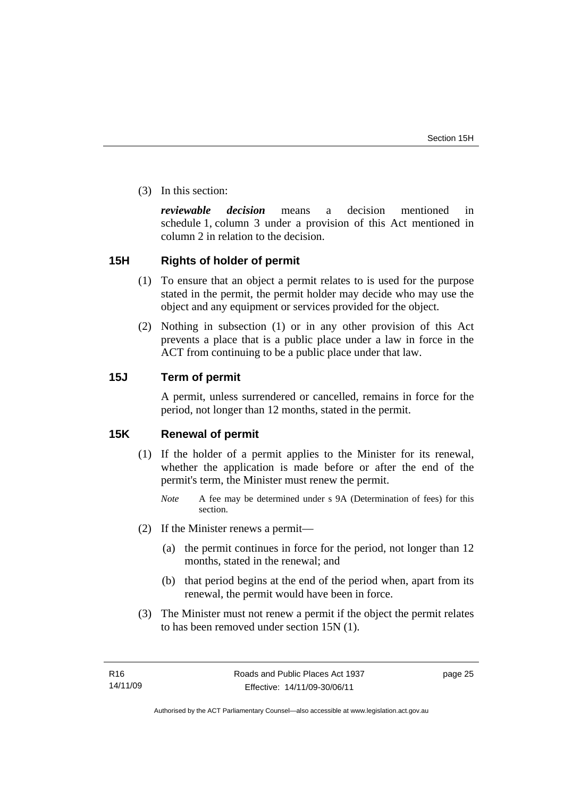(3) In this section:

*reviewable decision* means a decision mentioned in schedule 1, column 3 under a provision of this Act mentioned in column 2 in relation to the decision.

## **15H Rights of holder of permit**

- (1) To ensure that an object a permit relates to is used for the purpose stated in the permit, the permit holder may decide who may use the object and any equipment or services provided for the object.
- (2) Nothing in subsection (1) or in any other provision of this Act prevents a place that is a public place under a law in force in the ACT from continuing to be a public place under that law.

## **15J Term of permit**

A permit, unless surrendered or cancelled, remains in force for the period, not longer than 12 months, stated in the permit.

## **15K Renewal of permit**

- (1) If the holder of a permit applies to the Minister for its renewal, whether the application is made before or after the end of the permit's term, the Minister must renew the permit.
	- *Note* A fee may be determined under s 9A (Determination of fees) for this section.
- (2) If the Minister renews a permit—
	- (a) the permit continues in force for the period, not longer than 12 months, stated in the renewal; and
	- (b) that period begins at the end of the period when, apart from its renewal, the permit would have been in force.
- (3) The Minister must not renew a permit if the object the permit relates to has been removed under section 15N (1).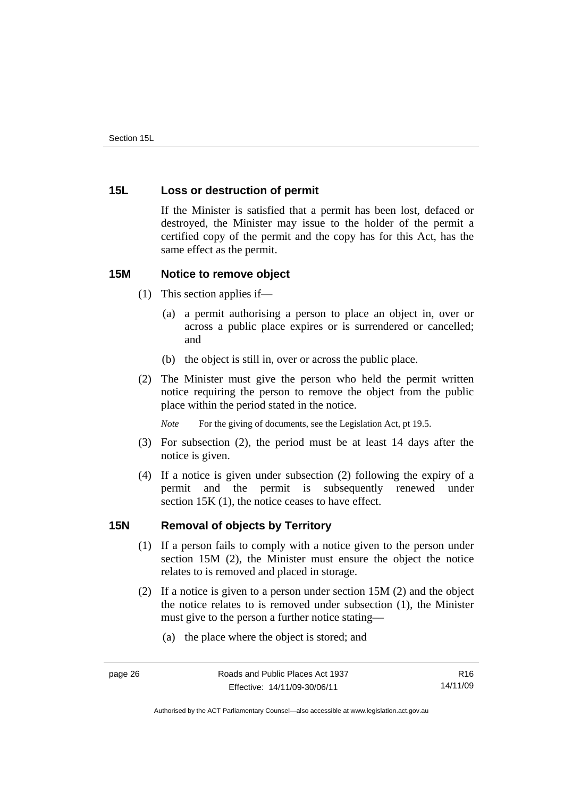## **15L Loss or destruction of permit**

If the Minister is satisfied that a permit has been lost, defaced or destroyed, the Minister may issue to the holder of the permit a certified copy of the permit and the copy has for this Act, has the same effect as the permit.

## **15M Notice to remove object**

- (1) This section applies if—
	- (a) a permit authorising a person to place an object in, over or across a public place expires or is surrendered or cancelled; and
	- (b) the object is still in, over or across the public place.
- (2) The Minister must give the person who held the permit written notice requiring the person to remove the object from the public place within the period stated in the notice.

*Note* For the giving of documents, see the Legislation Act, pt 19.5.

- (3) For subsection (2), the period must be at least 14 days after the notice is given.
- (4) If a notice is given under subsection (2) following the expiry of a permit and the permit is subsequently renewed under section 15K (1), the notice ceases to have effect.

## **15N Removal of objects by Territory**

- (1) If a person fails to comply with a notice given to the person under section 15M (2), the Minister must ensure the object the notice relates to is removed and placed in storage.
- (2) If a notice is given to a person under section 15M (2) and the object the notice relates to is removed under subsection (1), the Minister must give to the person a further notice stating—
	- (a) the place where the object is stored; and

Authorised by the ACT Parliamentary Counsel—also accessible at www.legislation.act.gov.au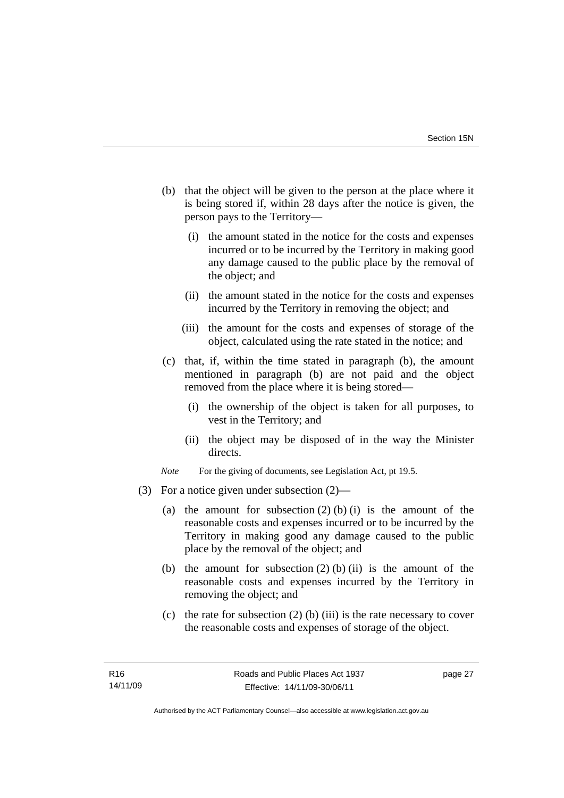- (b) that the object will be given to the person at the place where it is being stored if, within 28 days after the notice is given, the person pays to the Territory—
	- (i) the amount stated in the notice for the costs and expenses incurred or to be incurred by the Territory in making good any damage caused to the public place by the removal of the object; and
	- (ii) the amount stated in the notice for the costs and expenses incurred by the Territory in removing the object; and
	- (iii) the amount for the costs and expenses of storage of the object, calculated using the rate stated in the notice; and
- (c) that, if, within the time stated in paragraph (b), the amount mentioned in paragraph (b) are not paid and the object removed from the place where it is being stored—
	- (i) the ownership of the object is taken for all purposes, to vest in the Territory; and
	- (ii) the object may be disposed of in the way the Minister directs.
- *Note* For the giving of documents, see Legislation Act, pt 19.5.
- (3) For a notice given under subsection (2)—
	- (a) the amount for subsection  $(2)$  (b) (i) is the amount of the reasonable costs and expenses incurred or to be incurred by the Territory in making good any damage caused to the public place by the removal of the object; and
	- (b) the amount for subsection  $(2)$  (b) (ii) is the amount of the reasonable costs and expenses incurred by the Territory in removing the object; and
	- (c) the rate for subsection  $(2)$  (b) (iii) is the rate necessary to cover the reasonable costs and expenses of storage of the object.

page 27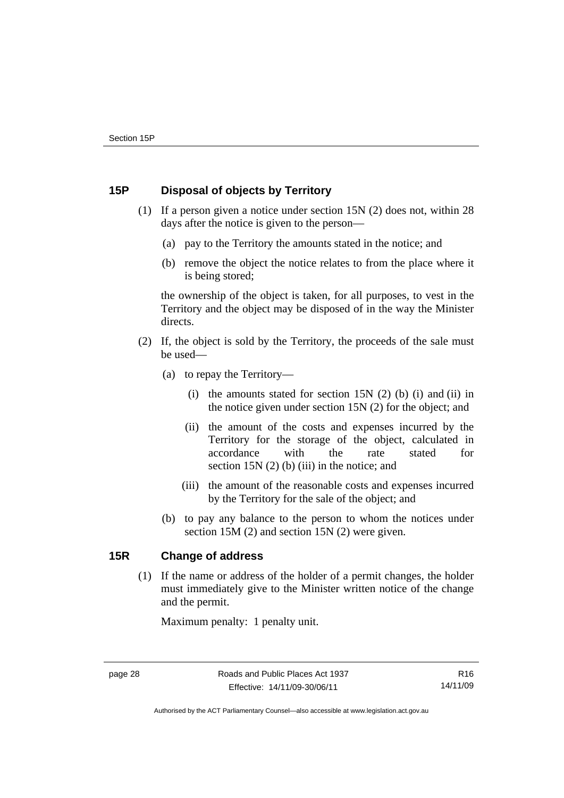## **15P Disposal of objects by Territory**

- (1) If a person given a notice under section 15N (2) does not, within 28 days after the notice is given to the person—
	- (a) pay to the Territory the amounts stated in the notice; and
	- (b) remove the object the notice relates to from the place where it is being stored;

the ownership of the object is taken, for all purposes, to vest in the Territory and the object may be disposed of in the way the Minister directs.

- (2) If, the object is sold by the Territory, the proceeds of the sale must be used—
	- (a) to repay the Territory—
		- (i) the amounts stated for section  $15N(2)$  (b) (i) and (ii) in the notice given under section 15N (2) for the object; and
		- (ii) the amount of the costs and expenses incurred by the Territory for the storage of the object, calculated in accordance with the rate stated for section 15N (2) (b) (iii) in the notice; and
		- (iii) the amount of the reasonable costs and expenses incurred by the Territory for the sale of the object; and
	- (b) to pay any balance to the person to whom the notices under section 15M (2) and section 15N (2) were given.

## **15R Change of address**

(1) If the name or address of the holder of a permit changes, the holder must immediately give to the Minister written notice of the change and the permit.

Maximum penalty: 1 penalty unit.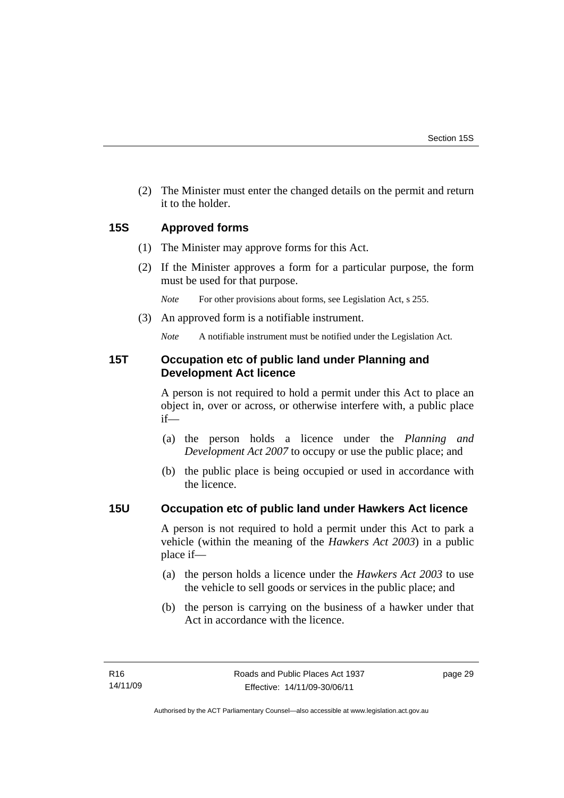(2) The Minister must enter the changed details on the permit and return it to the holder.

## **15S Approved forms**

- (1) The Minister may approve forms for this Act.
- (2) If the Minister approves a form for a particular purpose, the form must be used for that purpose.

*Note* For other provisions about forms, see Legislation Act, s 255.

(3) An approved form is a notifiable instrument.

*Note* A notifiable instrument must be notified under the Legislation Act.

## **15T Occupation etc of public land under Planning and Development Act licence**

A person is not required to hold a permit under this Act to place an object in, over or across, or otherwise interfere with, a public place if—

- (a) the person holds a licence under the *Planning and Development Act 2007* to occupy or use the public place; and
- (b) the public place is being occupied or used in accordance with the licence.

## **15U Occupation etc of public land under Hawkers Act licence**

A person is not required to hold a permit under this Act to park a vehicle (within the meaning of the *Hawkers Act 2003*) in a public place if—

- (a) the person holds a licence under the *Hawkers Act 2003* to use the vehicle to sell goods or services in the public place; and
- (b) the person is carrying on the business of a hawker under that Act in accordance with the licence.

page 29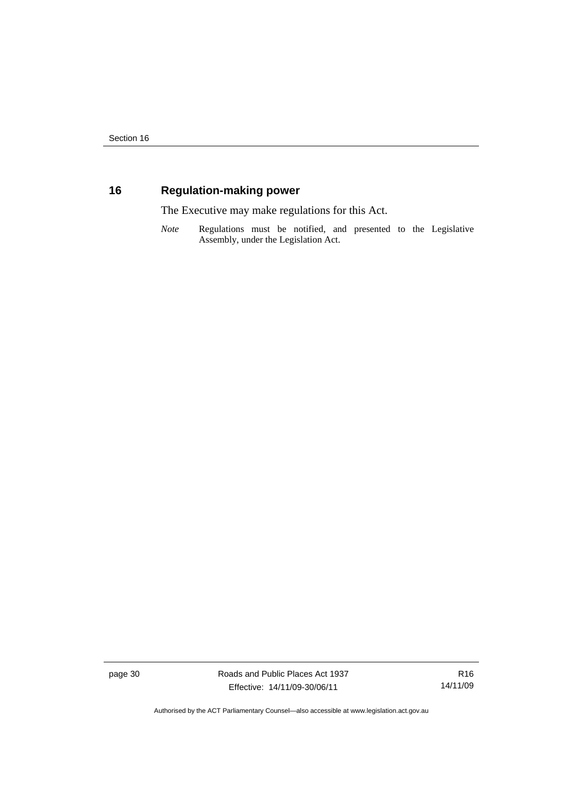## **16 Regulation-making power**

The Executive may make regulations for this Act.

*Note* Regulations must be notified, and presented to the Legislative Assembly, under the Legislation Act.

page 30 Roads and Public Places Act 1937 Effective: 14/11/09-30/06/11

R16 14/11/09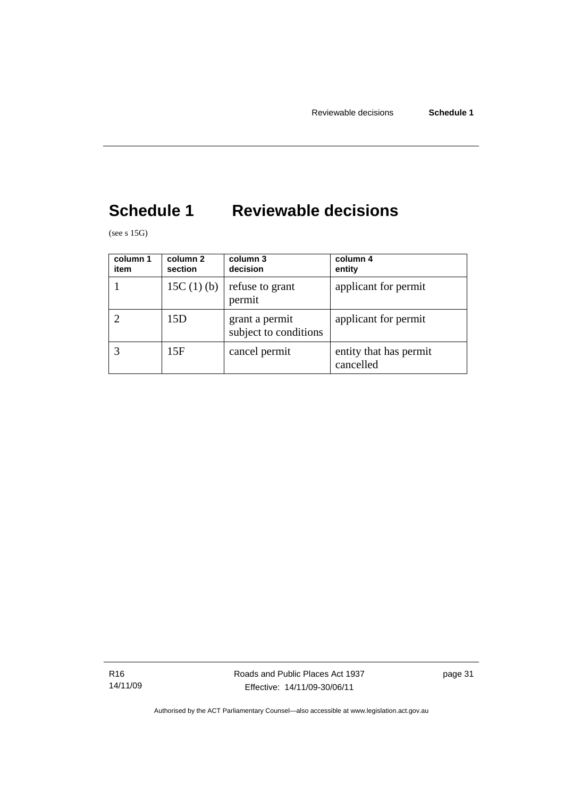## **Schedule 1 Reviewable decisions**

(see s  $15G$ )

| column 1<br>item | column 2<br>section | column 3<br>decision                    | column 4<br>entity                  |
|------------------|---------------------|-----------------------------------------|-------------------------------------|
|                  | 15C $(1)$ $(b)$     | refuse to grant<br>permit               | applicant for permit                |
|                  | 15D                 | grant a permit<br>subject to conditions | applicant for permit                |
|                  | 15F                 | cancel permit                           | entity that has permit<br>cancelled |

R16 14/11/09 Roads and Public Places Act 1937 Effective: 14/11/09-30/06/11

page 31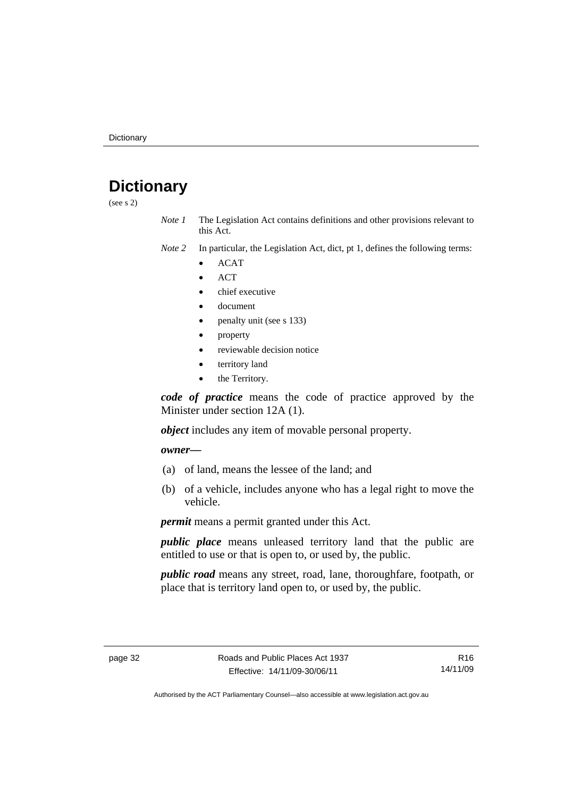## **Dictionary**

(see s 2)

- *Note 1* The Legislation Act contains definitions and other provisions relevant to this Act.
- *Note 2* In particular, the Legislation Act, dict, pt 1, defines the following terms:
	- ACAT
	- **ACT**
	- chief executive
	- document
	- penalty unit (see s 133)
	- property
	- reviewable decision notice
	- territory land
	- the Territory.

*code of practice* means the code of practice approved by the Minister under section 12A (1).

*object* includes any item of movable personal property.

*owner––*

- (a) of land, means the lessee of the land; and
- (b) of a vehicle, includes anyone who has a legal right to move the vehicle.

*permit* means a permit granted under this Act.

*public place* means unleased territory land that the public are entitled to use or that is open to, or used by, the public.

*public road* means any street, road, lane, thoroughfare, footpath, or place that is territory land open to, or used by, the public.

R16 14/11/09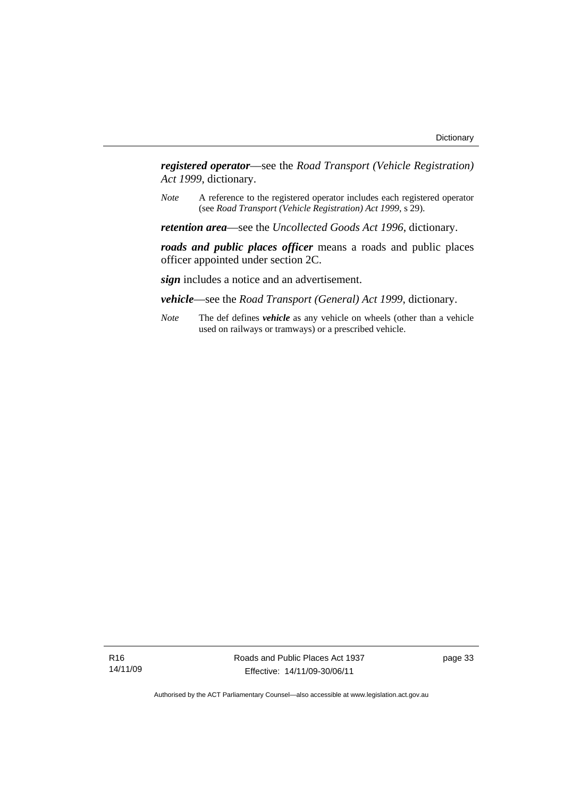*registered operator*––see the *Road Transport (Vehicle Registration) Act 1999*, dictionary.

*Note* A reference to the registered operator includes each registered operator (see *Road Transport (Vehicle Registration) Act 1999*, s 29).

*retention area*—see the *Uncollected Goods Act 1996*, dictionary.

*roads and public places officer* means a roads and public places officer appointed under section 2C.

*sign* includes a notice and an advertisement.

*vehicle*—see the *Road Transport (General) Act 1999*, dictionary.

*Note* The def defines *vehicle* as any vehicle on wheels (other than a vehicle used on railways or tramways) or a prescribed vehicle.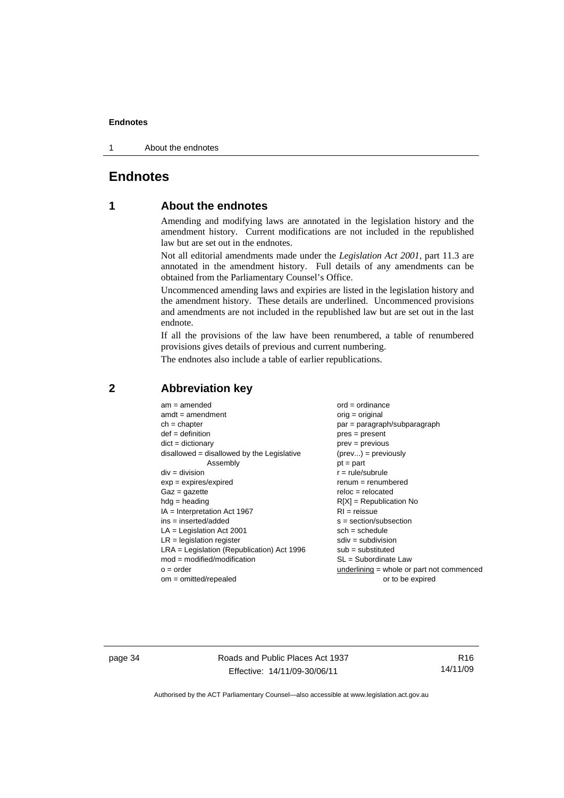1 About the endnotes

## **Endnotes**

## **1 About the endnotes**

Amending and modifying laws are annotated in the legislation history and the amendment history. Current modifications are not included in the republished law but are set out in the endnotes.

Not all editorial amendments made under the *Legislation Act 2001*, part 11.3 are annotated in the amendment history. Full details of any amendments can be obtained from the Parliamentary Counsel's Office.

Uncommenced amending laws and expiries are listed in the legislation history and the amendment history. These details are underlined. Uncommenced provisions and amendments are not included in the republished law but are set out in the last endnote.

If all the provisions of the law have been renumbered, a table of renumbered provisions gives details of previous and current numbering.

The endnotes also include a table of earlier republications.

| $am = amended$                               | $ord = ordinance$                         |
|----------------------------------------------|-------------------------------------------|
| $amdt = amendment$                           | orig = original                           |
| $ch = chapter$                               | $par = paragraph/subparagraph$            |
| $def = definition$                           | $pres = present$                          |
| $dict = dictionary$                          | $prev = previous$                         |
| disallowed = disallowed by the Legislative   | $(\text{prev}) = \text{previously}$       |
| Assembly                                     | $pt = part$                               |
| $div = division$                             | $r = rule/subrule$                        |
| $exp = expires/expired$                      | $remum = renumbered$                      |
| $Gaz = gazette$                              | $reloc = relocated$                       |
| $hdg =$ heading                              | $R[X]$ = Republication No                 |
| $IA = Interpretation Act 1967$               | $RI = reissue$                            |
| $ins = inserted/added$                       | $s = section/subsection$                  |
| $LA =$ Legislation Act 2001                  | $sch = schedule$                          |
| $LR =$ legislation register                  | $sdiv = subdivision$                      |
| $LRA =$ Legislation (Republication) Act 1996 | $sub =$ substituted                       |
| $mod = modified/modification$                | SL = Subordinate Law                      |
| $o = order$                                  | underlining = whole or part not commenced |
| $om = omitted/repealed$                      | or to be expired                          |
|                                              |                                           |

## **2 Abbreviation key**

page 34 Roads and Public Places Act 1937 Effective: 14/11/09-30/06/11

R16 14/11/09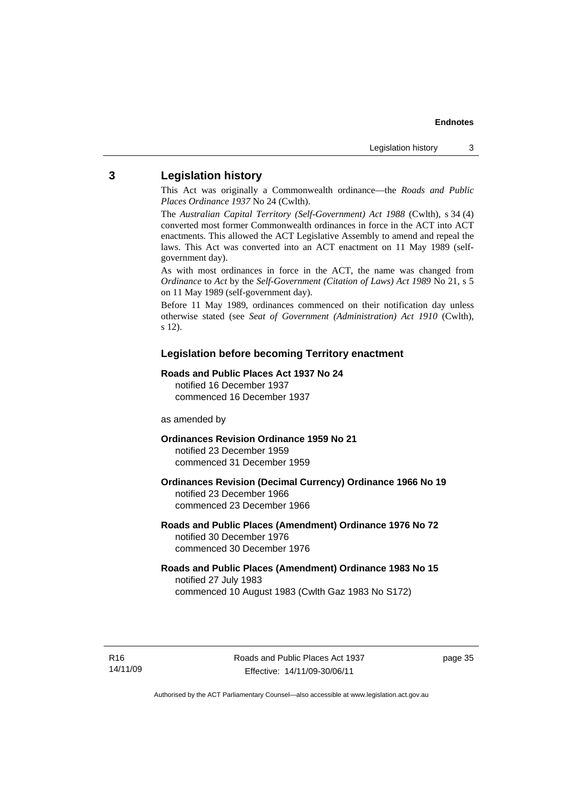### **3 Legislation history**

This Act was originally a Commonwealth ordinance—the *Roads and Public Places Ordinance 1937* No 24 (Cwlth).

The *Australian Capital Territory (Self-Government) Act 1988* (Cwlth), s 34 (4) converted most former Commonwealth ordinances in force in the ACT into ACT enactments. This allowed the ACT Legislative Assembly to amend and repeal the laws. This Act was converted into an ACT enactment on 11 May 1989 (selfgovernment day).

As with most ordinances in force in the ACT, the name was changed from *Ordinance* to *Act* by the *Self-Government (Citation of Laws) Act 1989* No 21, s 5 on 11 May 1989 (self-government day).

Before 11 May 1989, ordinances commenced on their notification day unless otherwise stated (see *Seat of Government (Administration) Act 1910* (Cwlth), s 12).

### **Legislation before becoming Territory enactment**

### **Roads and Public Places Act 1937 No 24**

notified 16 December 1937 commenced 16 December 1937

### as amended by

**Ordinances Revision Ordinance 1959 No 21**  notified 23 December 1959 commenced 31 December 1959

**Ordinances Revision (Decimal Currency) Ordinance 1966 No 19**  notified 23 December 1966 commenced 23 December 1966

### **Roads and Public Places (Amendment) Ordinance 1976 No 72**  notified 30 December 1976 commenced 30 December 1976

### **Roads and Public Places (Amendment) Ordinance 1983 No 15**  notified 27 July 1983 commenced 10 August 1983 (Cwlth Gaz 1983 No S172)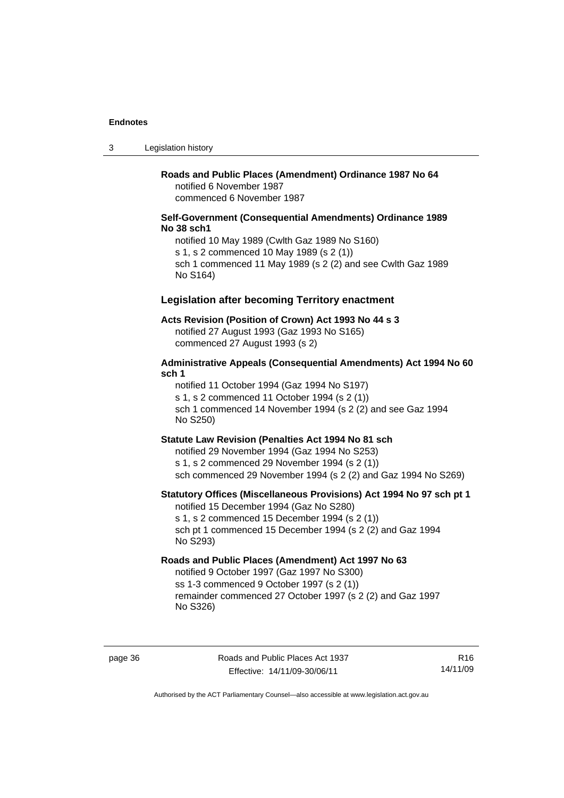3 Legislation history

## **Roads and Public Places (Amendment) Ordinance 1987 No 64**

notified 6 November 1987 commenced 6 November 1987

### **Self-Government (Consequential Amendments) Ordinance 1989 No 38 sch1**

notified 10 May 1989 (Cwlth Gaz 1989 No S160) s 1, s 2 commenced 10 May 1989 (s 2 (1)) sch 1 commenced 11 May 1989 (s 2 (2) and see Cwlth Gaz 1989 No S164)

### **Legislation after becoming Territory enactment**

### **Acts Revision (Position of Crown) Act 1993 No 44 s 3**

notified 27 August 1993 (Gaz 1993 No S165) commenced 27 August 1993 (s 2)

### **Administrative Appeals (Consequential Amendments) Act 1994 No 60 sch 1**

notified 11 October 1994 (Gaz 1994 No S197)

s 1, s 2 commenced 11 October 1994 (s 2 (1))

sch 1 commenced 14 November 1994 (s 2 (2) and see Gaz 1994 No S250)

### **Statute Law Revision (Penalties Act 1994 No 81 sch**

notified 29 November 1994 (Gaz 1994 No S253) s 1, s 2 commenced 29 November 1994 (s 2 (1)) sch commenced 29 November 1994 (s 2 (2) and Gaz 1994 No S269)

### **Statutory Offices (Miscellaneous Provisions) Act 1994 No 97 sch pt 1**

notified 15 December 1994 (Gaz No S280) s 1, s 2 commenced 15 December 1994 (s 2 (1)) sch pt 1 commenced 15 December 1994 (s 2 (2) and Gaz 1994 No S293)

### **Roads and Public Places (Amendment) Act 1997 No 63**

notified 9 October 1997 (Gaz 1997 No S300) ss 1-3 commenced 9 October 1997 (s 2 (1)) remainder commenced 27 October 1997 (s 2 (2) and Gaz 1997 No S326)

page 36 Roads and Public Places Act 1937 Effective: 14/11/09-30/06/11

R16 14/11/09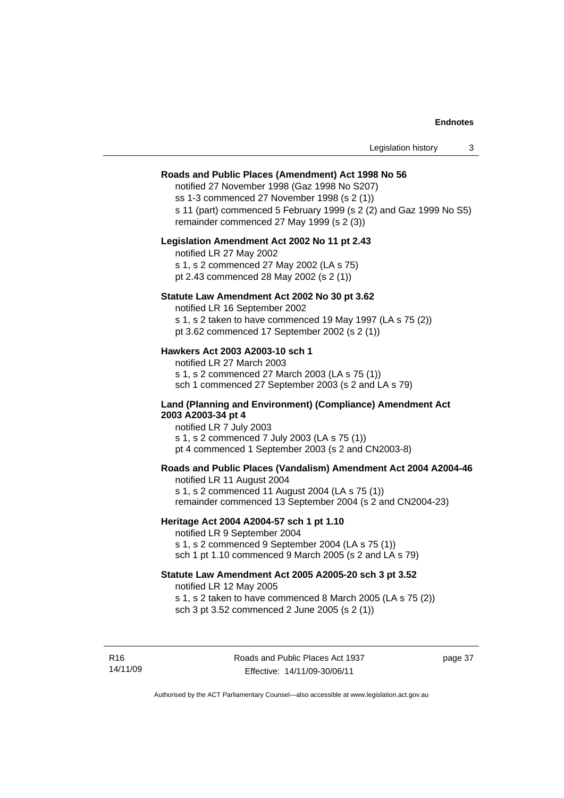### **Roads and Public Places (Amendment) Act 1998 No 56**

notified 27 November 1998 (Gaz 1998 No S207) ss 1-3 commenced 27 November 1998 (s 2 (1)) s 11 (part) commenced 5 February 1999 (s 2 (2) and Gaz 1999 No S5) remainder commenced 27 May 1999 (s 2 (3))

### **Legislation Amendment Act 2002 No 11 pt 2.43**

notified LR 27 May 2002 s 1, s 2 commenced 27 May 2002 (LA s 75) pt 2.43 commenced 28 May 2002 (s 2 (1))

### **Statute Law Amendment Act 2002 No 30 pt 3.62**

notified LR 16 September 2002 s 1, s 2 taken to have commenced 19 May 1997 (LA s 75 (2))

pt 3.62 commenced 17 September 2002 (s 2 (1))

### **Hawkers Act 2003 A2003-10 sch 1**

notified LR 27 March 2003 s 1, s 2 commenced 27 March 2003 (LA s 75 (1)) sch 1 commenced 27 September 2003 (s 2 and LA s 79)

### **Land (Planning and Environment) (Compliance) Amendment Act 2003 A2003-34 pt 4**

notified LR 7 July 2003 s 1, s 2 commenced 7 July 2003 (LA s 75 (1)) pt 4 commenced 1 September 2003 (s 2 and CN2003-8)

### **Roads and Public Places (Vandalism) Amendment Act 2004 A2004-46**

notified LR 11 August 2004 s 1, s 2 commenced 11 August 2004 (LA s 75 (1)) remainder commenced 13 September 2004 (s 2 and CN2004-23)

### **Heritage Act 2004 A2004-57 sch 1 pt 1.10**

notified LR 9 September 2004 s 1, s 2 commenced 9 September 2004 (LA s 75 (1)) sch 1 pt 1.10 commenced 9 March 2005 (s 2 and LA s 79)

### **Statute Law Amendment Act 2005 A2005-20 sch 3 pt 3.52**

notified LR 12 May 2005 s 1, s 2 taken to have commenced 8 March 2005 (LA s 75 (2)) sch 3 pt 3.52 commenced 2 June 2005 (s 2 (1))

page 37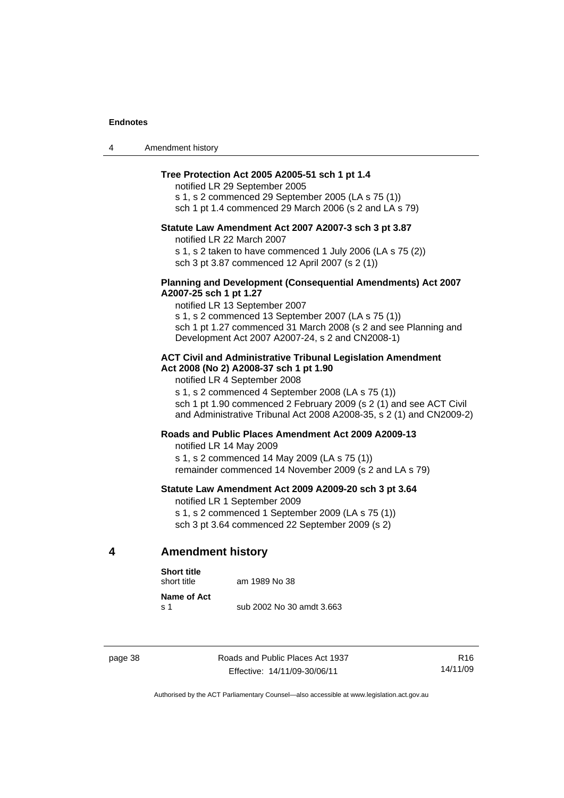| 4 | Amendment history |
|---|-------------------|
|---|-------------------|

### **Tree Protection Act 2005 A2005-51 sch 1 pt 1.4**

notified LR 29 September 2005 s 1, s 2 commenced 29 September 2005 (LA s 75 (1)) sch 1 pt 1.4 commenced 29 March 2006 (s 2 and LA s 79)

### **Statute Law Amendment Act 2007 A2007-3 sch 3 pt 3.87**

notified LR 22 March 2007 s 1, s 2 taken to have commenced 1 July 2006 (LA s 75 (2)) sch 3 pt 3.87 commenced 12 April 2007 (s 2 (1))

### **Planning and Development (Consequential Amendments) Act 2007 A2007-25 sch 1 pt 1.27**

notified LR 13 September 2007 s 1, s 2 commenced 13 September 2007 (LA s 75 (1)) sch 1 pt 1.27 commenced 31 March 2008 (s 2 and see Planning and Development Act 2007 A2007-24, s 2 and CN2008-1)

### **ACT Civil and Administrative Tribunal Legislation Amendment Act 2008 (No 2) A2008-37 sch 1 pt 1.90**

notified LR 4 September 2008

s 1, s 2 commenced 4 September 2008 (LA s 75 (1))

sch 1 pt 1.90 commenced 2 February 2009 (s 2 (1) and see ACT Civil and Administrative Tribunal Act 2008 A2008-35, s 2 (1) and CN2009-2)

### **Roads and Public Places Amendment Act 2009 A2009-13**

notified LR 14 May 2009

s 1, s 2 commenced 14 May 2009 (LA s 75 (1)) remainder commenced 14 November 2009 (s 2 and LA s 79)

### **Statute Law Amendment Act 2009 A2009-20 sch 3 pt 3.64**

notified LR 1 September 2009 s 1, s 2 commenced 1 September 2009 (LA s 75 (1)) sch 3 pt 3.64 commenced 22 September 2009 (s 2)

### **4 Amendment history**

#### **Short title**

short title am 1989 No 38

**Name of Act** 

s 1 sub 2002 No 30 amdt 3.663

page 38 Roads and Public Places Act 1937 Effective: 14/11/09-30/06/11

R16 14/11/09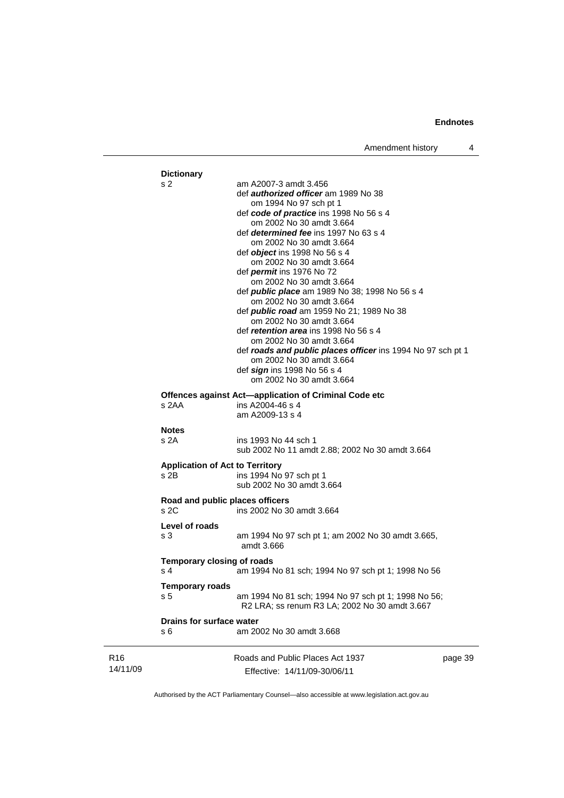|                 | <b>Dictionary</b><br>s 2                       | am A2007-3 amdt 3.456<br>def authorized officer am 1989 No 38<br>om 1994 No 97 sch pt 1<br>def code of practice ins 1998 No 56 s 4<br>om 2002 No 30 amdt 3.664<br>def <i>determined fee</i> ins 1997 No 63 s 4<br>om 2002 No 30 amdt 3.664<br>def <i>object</i> ins 1998 No 56 s 4<br>om 2002 No 30 amdt 3.664<br>def <i>permit</i> ins 1976 No 72<br>om 2002 No 30 amdt 3.664<br>def <b>public place</b> am 1989 No 38; 1998 No 56 s 4<br>om 2002 No 30 amdt 3.664<br>def <i>public road</i> am 1959 No 21; 1989 No 38<br>om 2002 No 30 amdt 3.664<br>def <i>retention area</i> ins 1998 No 56 s 4<br>om 2002 No 30 amdt 3.664<br>def roads and public places officer ins 1994 No 97 sch pt 1<br>om 2002 No 30 amdt 3.664<br>def sign ins 1998 No 56 s 4<br>om 2002 No 30 amdt 3.664 |         |
|-----------------|------------------------------------------------|---------------------------------------------------------------------------------------------------------------------------------------------------------------------------------------------------------------------------------------------------------------------------------------------------------------------------------------------------------------------------------------------------------------------------------------------------------------------------------------------------------------------------------------------------------------------------------------------------------------------------------------------------------------------------------------------------------------------------------------------------------------------------------------|---------|
|                 | s 2AA                                          | Offences against Act-application of Criminal Code etc<br>ins A2004-46 s 4<br>am A2009-13 s 4                                                                                                                                                                                                                                                                                                                                                                                                                                                                                                                                                                                                                                                                                          |         |
|                 | <b>Notes</b><br>s 2A                           | ins 1993 No 44 sch 1<br>sub 2002 No 11 amdt 2.88; 2002 No 30 amdt 3.664                                                                                                                                                                                                                                                                                                                                                                                                                                                                                                                                                                                                                                                                                                               |         |
|                 | <b>Application of Act to Territory</b><br>s 2B | ins 1994 No 97 sch pt 1<br>sub 2002 No 30 amdt 3.664                                                                                                                                                                                                                                                                                                                                                                                                                                                                                                                                                                                                                                                                                                                                  |         |
|                 | Road and public places officers<br>s 2C        | ins 2002 No 30 amdt 3.664                                                                                                                                                                                                                                                                                                                                                                                                                                                                                                                                                                                                                                                                                                                                                             |         |
|                 | Level of roads<br>s 3                          | am 1994 No 97 sch pt 1; am 2002 No 30 amdt 3.665,<br>amdt 3.666                                                                                                                                                                                                                                                                                                                                                                                                                                                                                                                                                                                                                                                                                                                       |         |
|                 | <b>Temporary closing of roads</b><br>s 4       | am 1994 No 81 sch; 1994 No 97 sch pt 1; 1998 No 56                                                                                                                                                                                                                                                                                                                                                                                                                                                                                                                                                                                                                                                                                                                                    |         |
|                 | Temporary roads<br>s 5                         | am 1994 No 81 sch; 1994 No 97 sch pt 1; 1998 No 56;<br>R2 LRA; ss renum R3 LA; 2002 No 30 amdt 3.667                                                                                                                                                                                                                                                                                                                                                                                                                                                                                                                                                                                                                                                                                  |         |
|                 | Drains for surface water<br>s 6                | am 2002 No 30 amdt 3.668                                                                                                                                                                                                                                                                                                                                                                                                                                                                                                                                                                                                                                                                                                                                                              |         |
| R16<br>14/11/09 |                                                | Roads and Public Places Act 1937<br>Effective: 14/11/09-30/06/11                                                                                                                                                                                                                                                                                                                                                                                                                                                                                                                                                                                                                                                                                                                      | page 39 |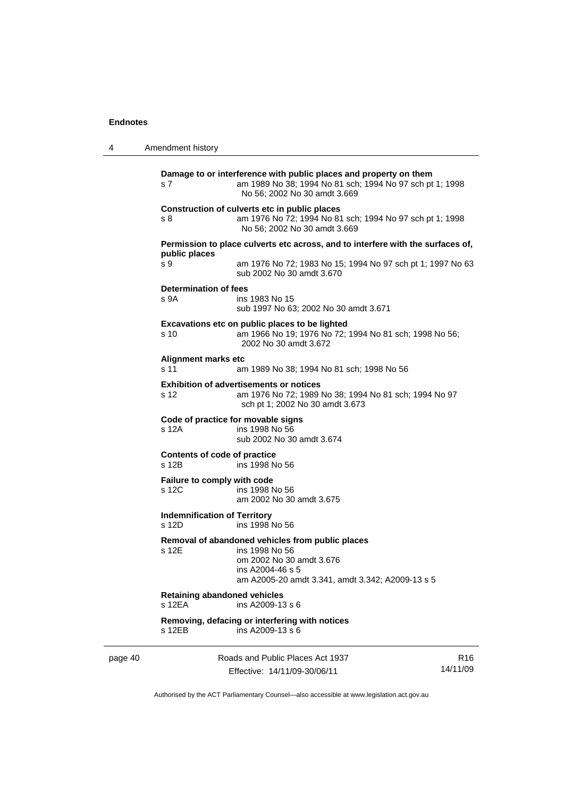| 4       | Amendment history                             |                                                                                                                                                                        |                             |
|---------|-----------------------------------------------|------------------------------------------------------------------------------------------------------------------------------------------------------------------------|-----------------------------|
|         | s 7                                           | Damage to or interference with public places and property on them<br>am 1989 No 38; 1994 No 81 sch; 1994 No 97 sch pt 1; 1998<br>No 56; 2002 No 30 amdt 3.669          |                             |
|         | s 8                                           | Construction of culverts etc in public places<br>am 1976 No 72; 1994 No 81 sch; 1994 No 97 sch pt 1; 1998<br>No 56; 2002 No 30 amdt 3.669                              |                             |
|         |                                               | Permission to place culverts etc across, and to interfere with the surfaces of,                                                                                        |                             |
|         | public places<br>s 9                          | am 1976 No 72; 1983 No 15; 1994 No 97 sch pt 1; 1997 No 63<br>sub 2002 No 30 amdt 3.670                                                                                |                             |
|         | <b>Determination of fees</b><br>s 9A          | ins 1983 No 15<br>sub 1997 No 63; 2002 No 30 amdt 3.671                                                                                                                |                             |
|         | s 10                                          | Excavations etc on public places to be lighted<br>am 1966 No 19; 1976 No 72; 1994 No 81 sch; 1998 No 56;<br>2002 No 30 amdt 3.672                                      |                             |
|         | <b>Alignment marks etc</b><br>s 11            | am 1989 No 38; 1994 No 81 sch; 1998 No 56                                                                                                                              |                             |
|         | s 12                                          | <b>Exhibition of advertisements or notices</b><br>am 1976 No 72; 1989 No 38; 1994 No 81 sch; 1994 No 97<br>sch pt 1; 2002 No 30 amdt 3.673                             |                             |
|         | s 12A                                         | Code of practice for movable signs<br>ins 1998 No 56<br>sub 2002 No 30 amdt 3.674                                                                                      |                             |
|         | Contents of code of practice<br>s 12B         | ins 1998 No 56                                                                                                                                                         |                             |
|         | Failure to comply with code<br>s 12C          | ins 1998 No 56<br>am 2002 No 30 amdt 3.675                                                                                                                             |                             |
|         | <b>Indemnification of Territory</b><br>s 12D  | ins 1998 No 56                                                                                                                                                         |                             |
|         | s 12E                                         | Removal of abandoned vehicles from public places<br>ins 1998 No 56<br>om 2002 No 30 amdt 3.676<br>ins A2004-46 s 5<br>am A2005-20 amdt 3.341, amdt 3.342; A2009-13 s 5 |                             |
|         | <b>Retaining abandoned vehicles</b><br>s 12EA | ins A2009-13 s 6                                                                                                                                                       |                             |
|         | s 12EB                                        | Removing, defacing or interfering with notices<br>ins A2009-13 s 6                                                                                                     |                             |
| page 40 |                                               | Roads and Public Places Act 1937<br>Effective: 14/11/09-30/06/11                                                                                                       | R <sub>16</sub><br>14/11/09 |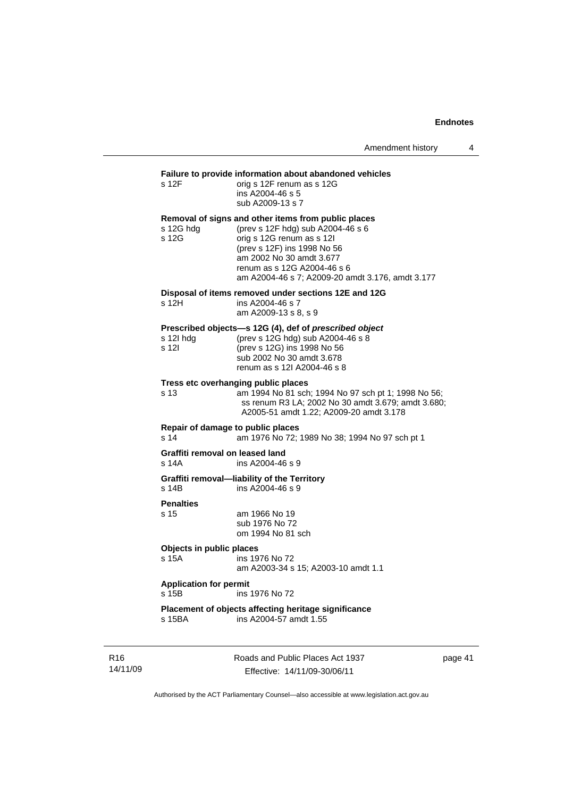## **Failure to provide information about abandoned vehicles**<br>s 12F orig s 12F renum as s 12G

| s 12F | orig s 12F renum as s 12G |
|-------|---------------------------|
|       | ins A2004-46 s 5          |
|       | sub A2009-13 s 7          |

### **Removal of signs and other items from public places**

| s 12G hdg | (prev s 12F hdg) sub A2004-46 s 6                |
|-----------|--------------------------------------------------|
| s 12G     | orig s 12G renum as s 12I                        |
|           | (prev s 12F) ins 1998 No 56                      |
|           | am 2002 No 30 amdt 3.677                         |
|           | renum as s 12G A2004-46 s 6                      |
|           | am A2004-46 s 7; A2009-20 amdt 3.176, amdt 3.177 |
|           |                                                  |

#### **Disposal of items removed under sections 12E and 12G**

| s 12H | ins A2004-46 s 7     |
|-------|----------------------|
|       | am A2009-13 s 8, s 9 |

### **Prescribed objects—s 12G (4), def of** *prescribed object*

| s 12l hdg | (prev s 12G hdg) sub A2004-46 s 8 |
|-----------|-----------------------------------|
| s 12I     | (prev s 12G) ins 1998 No 56       |
|           | sub 2002 No 30 amdt 3.678         |
|           | renum as s 12l A2004-46 s 8       |

#### **Tress etc overhanging public places**

s 13 am 1994 No 81 sch; 1994 No 97 sch pt 1; 1998 No 56; ss renum R3 LA; 2002 No 30 amdt 3.679; amdt 3.680; A2005-51 amdt 1.22; A2009-20 amdt 3.178

**Repair of damage to public places**  s 14 am 1976 No 72; 1989 No 38; 1994 No 97 sch pt 1

## **Graffiti removal on leased land**<br>s 14A **ins A2004-46**

 $ins A2004-46 s 9$ 

**Graffiti removal—liability of the Territory**  s 14B ins A2004-46 s 9

## **Penalties**

am 1966 No 19 sub 1976 No 72 om 1994 No 81 sch

**Objects in public places** 

s 15A ins 1976 No 72 am A2003-34 s 15; A2003-10 amdt 1.1

### **Application for permit**

s 15B ins 1976 No 72

#### **Placement of objects affecting heritage significance**  ins A2004-57 amdt 1.55

R16 14/11/09 Roads and Public Places Act 1937 Effective: 14/11/09-30/06/11

page 41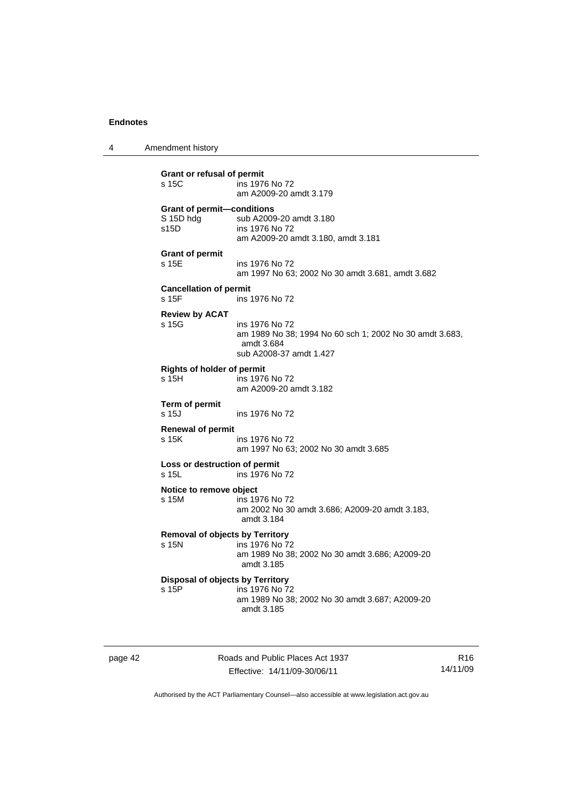4 Amendment history

**Grant or refusal of permit**  s 15C ins 1976 No 72 am A2009-20 amdt 3.179 **Grant of permit—conditions**  S 15D hdg sub A2009-20 amdt 3.180 s15D ins 1976 No 72 am A2009-20 amdt 3.180, amdt 3.181 **Grant of permit**  s 15E ins 1976 No 72 am 1997 No 63; 2002 No 30 amdt 3.681, amdt 3.682 **Cancellation of permit**  s 15F ins 1976 No 72 **Review by ACAT**  s 15G ins 1976 No 72 am 1989 No 38; 1994 No 60 sch 1; 2002 No 30 amdt 3.683, amdt 3.684 sub A2008-37 amdt 1.427 **Rights of holder of permit**  ins 1976 No 72 am A2009-20 amdt 3.182 **Term of permit**  s 15J ins 1976 No 72 **Renewal of permit**  s 15K ins 1976 No 72 am 1997 No 63; 2002 No 30 amdt 3.685 **Loss or destruction of permit**  s 15L ins 1976 No 72 **Notice to remove object**  s 15M ins 1976 No 72 am 2002 No 30 amdt 3.686; A2009-20 amdt 3.183, amdt 3.184 **Removal of objects by Territory**  s 15N ins 1976 No 72 am 1989 No 38; 2002 No 30 amdt 3.686; A2009-20 amdt 3.185 **Disposal of objects by Territory**  s 15P ins 1976 No 72 am 1989 No 38; 2002 No 30 amdt 3.687; A2009-20 amdt 3.185

page 42 Roads and Public Places Act 1937 Effective: 14/11/09-30/06/11

R16 14/11/09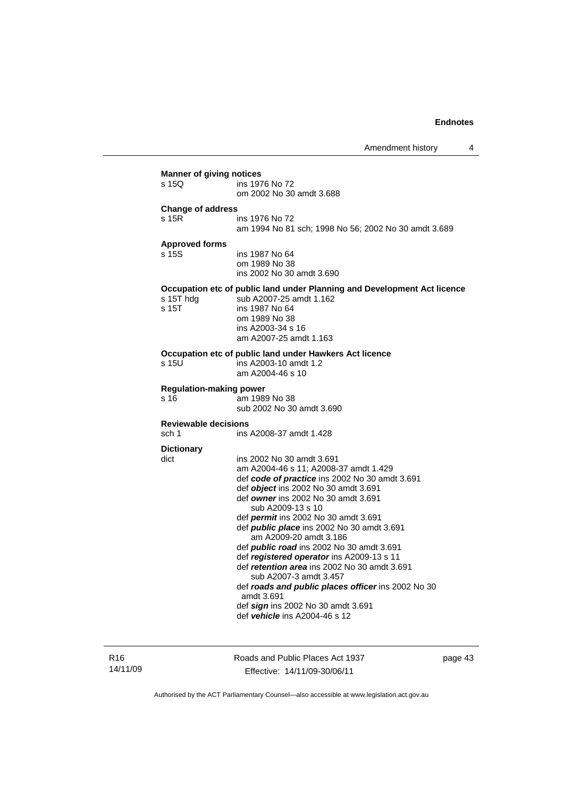| <b>Manner of giving notices</b> |                                                                          |
|---------------------------------|--------------------------------------------------------------------------|
| s 15Q                           | ins 1976 No 72<br>om 2002 No 30 amdt 3.688                               |
|                                 |                                                                          |
| <b>Change of address</b>        |                                                                          |
| s 15R                           | ins 1976 No 72                                                           |
|                                 | am 1994 No 81 sch; 1998 No 56; 2002 No 30 amdt 3.689                     |
| <b>Approved forms</b>           |                                                                          |
| s 15S                           | ins 1987 No 64                                                           |
|                                 | om 1989 No 38                                                            |
|                                 | ins 2002 No 30 amdt 3.690                                                |
|                                 | Occupation etc of public land under Planning and Development Act licence |
| s 15T hdg                       | sub A2007-25 amdt 1.162                                                  |
| s 15T                           | ins 1987 No 64                                                           |
|                                 | om 1989 No 38                                                            |
|                                 | ins A2003-34 s 16                                                        |
|                                 | am A2007-25 amdt 1.163                                                   |
|                                 | Occupation etc of public land under Hawkers Act licence                  |
| s 15U                           | ins A2003-10 amdt 1.2                                                    |
|                                 | am A2004-46 s 10                                                         |
| <b>Regulation-making power</b>  |                                                                          |
| s 16                            | am 1989 No 38                                                            |
|                                 | sub 2002 No 30 amdt 3.690                                                |
| <b>Reviewable decisions</b>     |                                                                          |
| sch 1                           | ins A2008-37 amdt 1.428                                                  |
|                                 |                                                                          |
| <b>Dictionary</b>               | ins 2002 No 30 amdt 3.691                                                |
| dict                            | am A2004-46 s 11; A2008-37 amdt 1.429                                    |
|                                 | def code of practice ins 2002 No 30 amdt 3.691                           |
|                                 | def <i>obiect</i> ins 2002 No 30 amdt 3.691                              |
|                                 | def owner ins 2002 No 30 amdt 3.691                                      |
|                                 | sub A2009-13 s 10                                                        |
|                                 | def permit ins 2002 No 30 amdt 3.691                                     |
|                                 | def <i>public place</i> ins 2002 No 30 amdt 3.691                        |
|                                 | am A2009-20 amdt 3.186                                                   |
|                                 | def <i>public road</i> ins 2002 No 30 amdt 3.691                         |
|                                 | def registered operator ins A2009-13 s 11                                |
|                                 | def retention area ins 2002 No 30 amdt 3.691                             |
|                                 | sub A2007-3 amdt 3.457                                                   |
|                                 | def roads and public places officer ins 2002 No 30                       |
|                                 | amdt 3.691                                                               |
|                                 | def sign ins 2002 No 30 amdt 3.691<br>def vehicle ins A2004-46 s 12      |
|                                 |                                                                          |

R16 14/11/09 Roads and Public Places Act 1937 Effective: 14/11/09-30/06/11

page 43